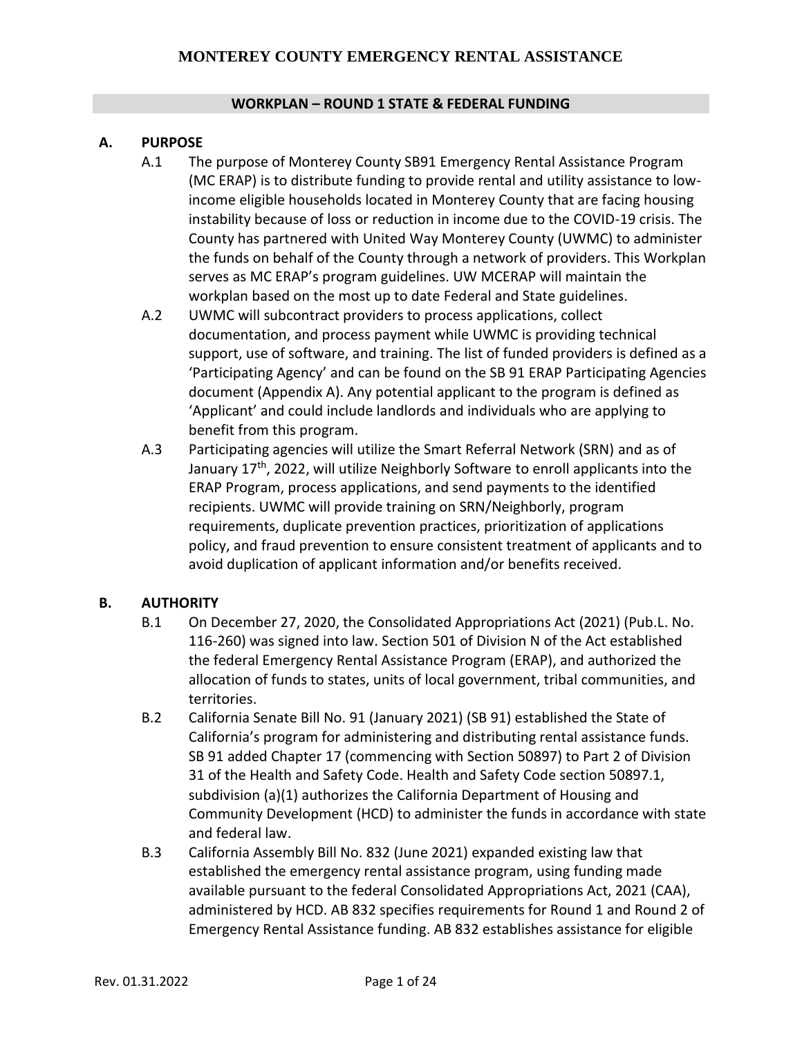#### **WORKPLAN – ROUND 1 STATE & FEDERAL FUNDING**

#### **A. PURPOSE**

- A.1 The purpose of Monterey County SB91 Emergency Rental Assistance Program (MC ERAP) is to distribute funding to provide rental and utility assistance to lowincome eligible households located in Monterey County that are facing housing instability because of loss or reduction in income due to the COVID-19 crisis. The County has partnered with United Way Monterey County (UWMC) to administer the funds on behalf of the County through a network of providers. This Workplan serves as MC ERAP's program guidelines. UW MCERAP will maintain the workplan based on the most up to date Federal and State guidelines.
- A.2 UWMC will subcontract providers to process applications, collect documentation, and process payment while UWMC is providing technical support, use of software, and training. The list of funded providers is defined as a 'Participating Agency' and can be found on the SB 91 ERAP Participating Agencies document (Appendix A). Any potential applicant to the program is defined as 'Applicant' and could include landlords and individuals who are applying to benefit from this program.
- A.3 Participating agencies will utilize the Smart Referral Network (SRN) and as of January  $17<sup>th</sup>$ , 2022, will utilize Neighborly Software to enroll applicants into the ERAP Program, process applications, and send payments to the identified recipients. UWMC will provide training on SRN/Neighborly, program requirements, duplicate prevention practices, prioritization of applications policy, and fraud prevention to ensure consistent treatment of applicants and to avoid duplication of applicant information and/or benefits received.

#### **B. AUTHORITY**

- B.1 On December 27, 2020, the Consolidated Appropriations Act (2021) (Pub.L. No. 116-260) was signed into law. Section 501 of Division N of the Act established the federal Emergency Rental Assistance Program (ERAP), and authorized the allocation of funds to states, units of local government, tribal communities, and territories.
- B.2 California Senate Bill No. 91 (January 2021) (SB 91) established the State of California's program for administering and distributing rental assistance funds. SB 91 added Chapter 17 (commencing with Section 50897) to Part 2 of Division 31 of the Health and Safety Code. Health and Safety Code section 50897.1, subdivision (a)(1) authorizes the California Department of Housing and Community Development (HCD) to administer the funds in accordance with state and federal law.
- B.3 California Assembly Bill No. 832 (June 2021) expanded existing law that established the emergency rental assistance program, using funding made available pursuant to the federal Consolidated Appropriations Act, 2021 (CAA), administered by HCD. AB 832 specifies requirements for Round 1 and Round 2 of Emergency Rental Assistance funding. AB 832 establishes assistance for eligible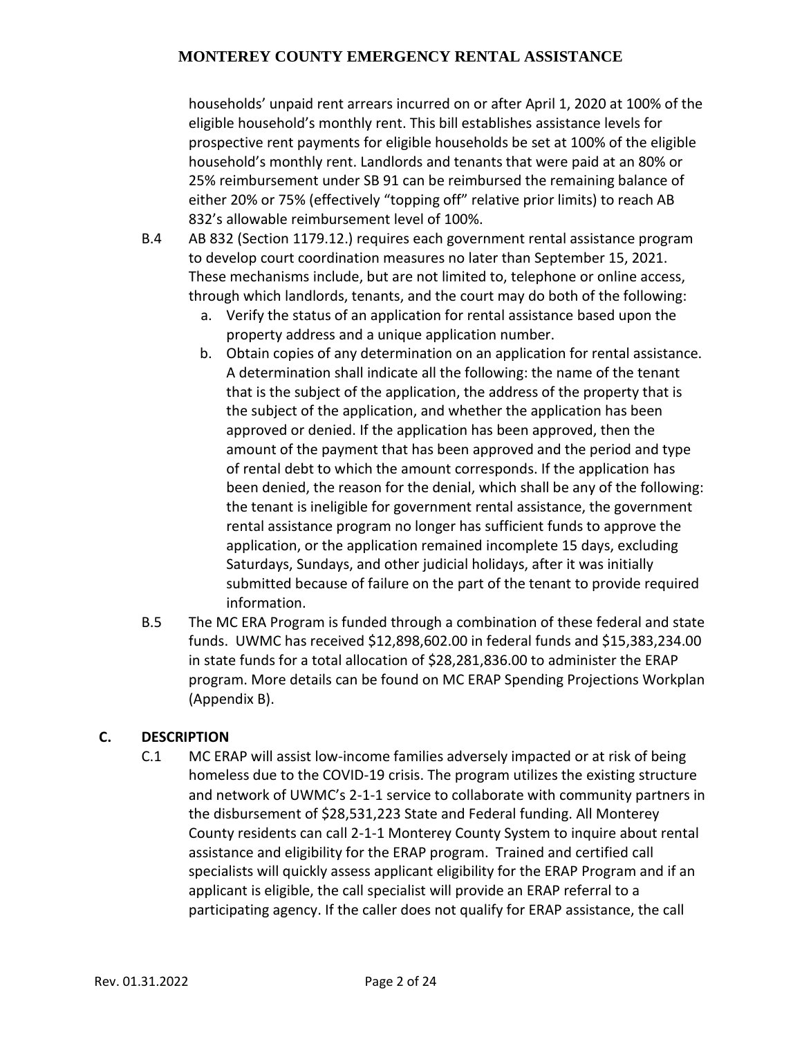households' unpaid rent arrears incurred on or after April 1, 2020 at 100% of the eligible household's monthly rent. This bill establishes assistance levels for prospective rent payments for eligible households be set at 100% of the eligible household's monthly rent. Landlords and tenants that were paid at an 80% or 25% reimbursement under SB 91 can be reimbursed the remaining balance of either 20% or 75% (effectively "topping off" relative prior limits) to reach AB 832's allowable reimbursement level of 100%.

- B.4 AB 832 (Section 1179.12.) requires each government rental assistance program to develop court coordination measures no later than September 15, 2021. These mechanisms include, but are not limited to, telephone or online access, through which landlords, tenants, and the court may do both of the following:
	- a. Verify the status of an application for rental assistance based upon the property address and a unique application number.
	- b. Obtain copies of any determination on an application for rental assistance. A determination shall indicate all the following: the name of the tenant that is the subject of the application, the address of the property that is the subject of the application, and whether the application has been approved or denied. If the application has been approved, then the amount of the payment that has been approved and the period and type of rental debt to which the amount corresponds. If the application has been denied, the reason for the denial, which shall be any of the following: the tenant is ineligible for government rental assistance, the government rental assistance program no longer has sufficient funds to approve the application, or the application remained incomplete 15 days, excluding Saturdays, Sundays, and other judicial holidays, after it was initially submitted because of failure on the part of the tenant to provide required information.
- B.5 The MC ERA Program is funded through a combination of these federal and state funds. UWMC has received \$12,898,602.00 in federal funds and \$15,383,234.00 in state funds for a total allocation of \$28,281,836.00 to administer the ERAP program. More details can be found on MC ERAP Spending Projections Workplan (Appendix B).

#### **C. DESCRIPTION**

C.1 MC ERAP will assist low-income families adversely impacted or at risk of being homeless due to the COVID-19 crisis. The program utilizes the existing structure and network of UWMC's 2-1-1 service to collaborate with community partners in the disbursement of \$28,531,223 State and Federal funding. All Monterey County residents can call 2-1-1 Monterey County System to inquire about rental assistance and eligibility for the ERAP program. Trained and certified call specialists will quickly assess applicant eligibility for the ERAP Program and if an applicant is eligible, the call specialist will provide an ERAP referral to a participating agency. If the caller does not qualify for ERAP assistance, the call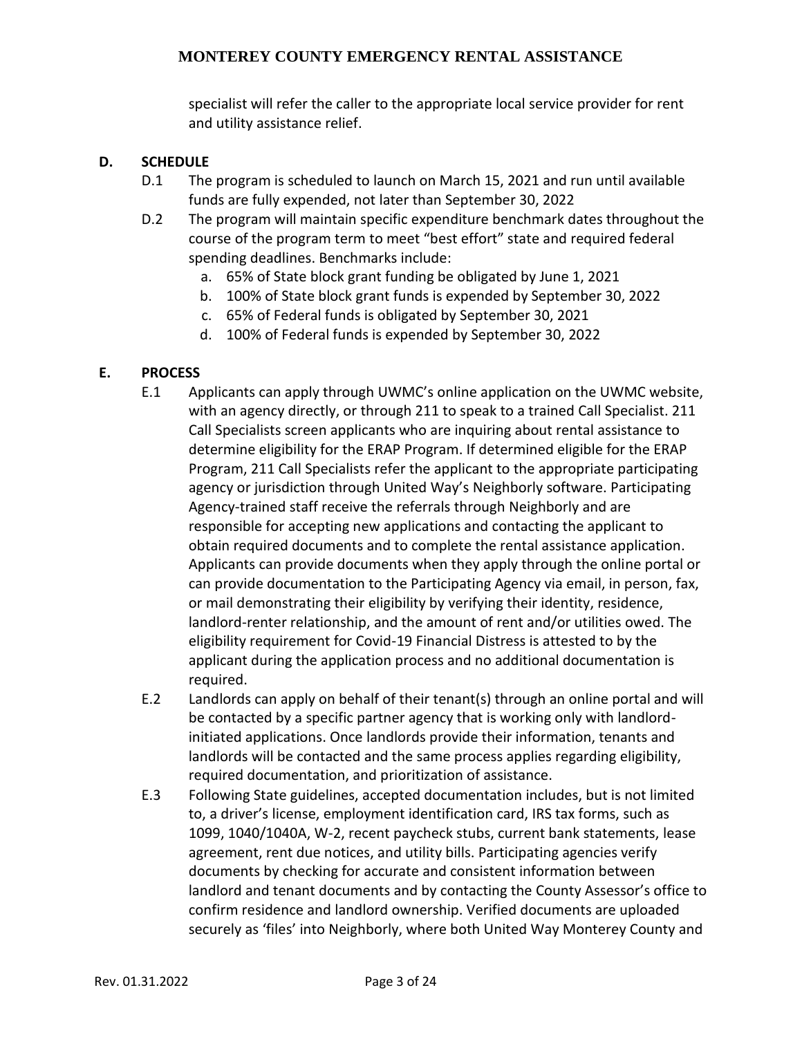specialist will refer the caller to the appropriate local service provider for rent and utility assistance relief.

#### **D. SCHEDULE**

- D.1 The program is scheduled to launch on March 15, 2021 and run until available funds are fully expended, not later than September 30, 2022
- D.2 The program will maintain specific expenditure benchmark dates throughout the course of the program term to meet "best effort" state and required federal spending deadlines. Benchmarks include:
	- a. 65% of State block grant funding be obligated by June 1, 2021
	- b. 100% of State block grant funds is expended by September 30, 2022
	- c. 65% of Federal funds is obligated by September 30, 2021
	- d. 100% of Federal funds is expended by September 30, 2022

#### **E. PROCESS**

- E.1 Applicants can apply through UWMC's online application on the UWMC website, with an agency directly, or through 211 to speak to a trained Call Specialist. 211 Call Specialists screen applicants who are inquiring about rental assistance to determine eligibility for the ERAP Program. If determined eligible for the ERAP Program, 211 Call Specialists refer the applicant to the appropriate participating agency or jurisdiction through United Way's Neighborly software. Participating Agency-trained staff receive the referrals through Neighborly and are responsible for accepting new applications and contacting the applicant to obtain required documents and to complete the rental assistance application. Applicants can provide documents when they apply through the online portal or can provide documentation to the Participating Agency via email, in person, fax, or mail demonstrating their eligibility by verifying their identity, residence, landlord-renter relationship, and the amount of rent and/or utilities owed. The eligibility requirement for Covid-19 Financial Distress is attested to by the applicant during the application process and no additional documentation is required.
- E.2 Landlords can apply on behalf of their tenant(s) through an online portal and will be contacted by a specific partner agency that is working only with landlordinitiated applications. Once landlords provide their information, tenants and landlords will be contacted and the same process applies regarding eligibility, required documentation, and prioritization of assistance.
- E.3 Following State guidelines, accepted documentation includes, but is not limited to, a driver's license, employment identification card, IRS tax forms, such as 1099, 1040/1040A, W-2, recent paycheck stubs, current bank statements, lease agreement, rent due notices, and utility bills. Participating agencies verify documents by checking for accurate and consistent information between landlord and tenant documents and by contacting the County Assessor's office to confirm residence and landlord ownership. Verified documents are uploaded securely as 'files' into Neighborly, where both United Way Monterey County and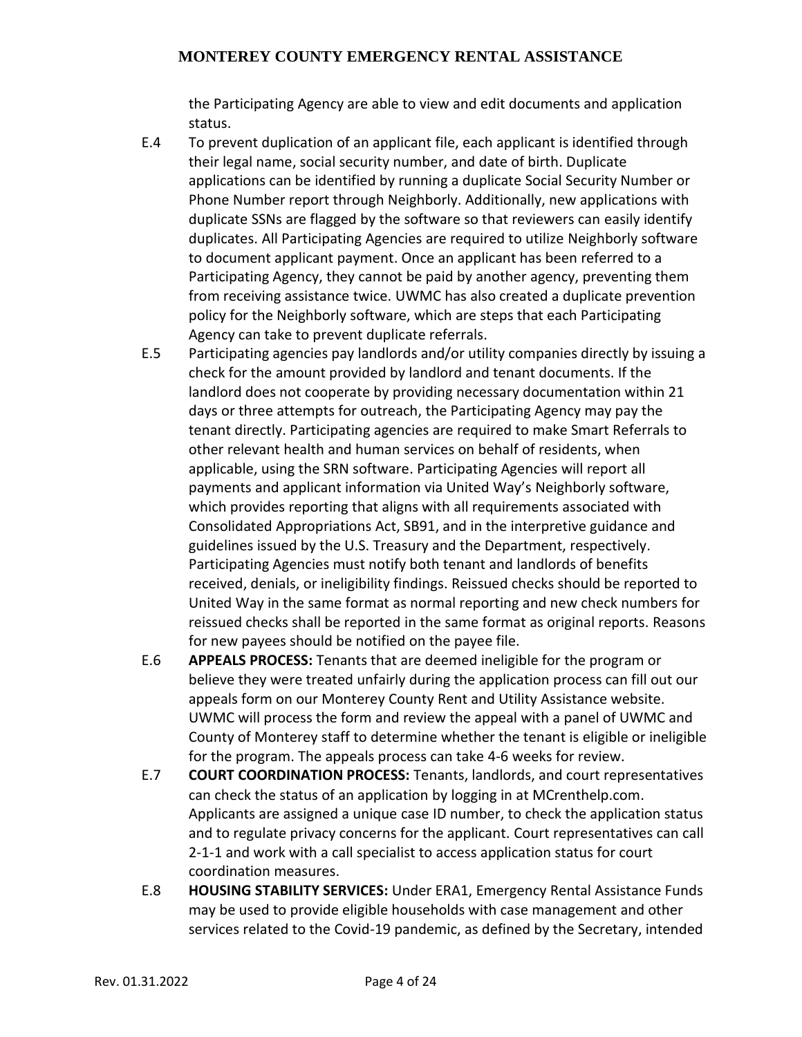the Participating Agency are able to view and edit documents and application status.

- E.4 To prevent duplication of an applicant file, each applicant is identified through their legal name, social security number, and date of birth. Duplicate applications can be identified by running a duplicate Social Security Number or Phone Number report through Neighborly. Additionally, new applications with duplicate SSNs are flagged by the software so that reviewers can easily identify duplicates. All Participating Agencies are required to utilize Neighborly software to document applicant payment. Once an applicant has been referred to a Participating Agency, they cannot be paid by another agency, preventing them from receiving assistance twice. UWMC has also created a duplicate prevention policy for the Neighborly software, which are steps that each Participating Agency can take to prevent duplicate referrals.
- E.5 Participating agencies pay landlords and/or utility companies directly by issuing a check for the amount provided by landlord and tenant documents. If the landlord does not cooperate by providing necessary documentation within 21 days or three attempts for outreach, the Participating Agency may pay the tenant directly. Participating agencies are required to make Smart Referrals to other relevant health and human services on behalf of residents, when applicable, using the SRN software. Participating Agencies will report all payments and applicant information via United Way's Neighborly software, which provides reporting that aligns with all requirements associated with Consolidated Appropriations Act, SB91, and in the interpretive guidance and guidelines issued by the U.S. Treasury and the Department, respectively. Participating Agencies must notify both tenant and landlords of benefits received, denials, or ineligibility findings. Reissued checks should be reported to United Way in the same format as normal reporting and new check numbers for reissued checks shall be reported in the same format as original reports. Reasons for new payees should be notified on the payee file.
- E.6 **APPEALS PROCESS:** Tenants that are deemed ineligible for the program or believe they were treated unfairly during the application process can fill out our appeals form on our Monterey County Rent and Utility Assistance website. UWMC will process the form and review the appeal with a panel of UWMC and County of Monterey staff to determine whether the tenant is eligible or ineligible for the program. The appeals process can take 4-6 weeks for review.
- E.7 **COURT COORDINATION PROCESS:** Tenants, landlords, and court representatives can check the status of an application by logging in at MCrenthelp.com. Applicants are assigned a unique case ID number, to check the application status and to regulate privacy concerns for the applicant. Court representatives can call 2-1-1 and work with a call specialist to access application status for court coordination measures.
- E.8 **HOUSING STABILITY SERVICES:** Under ERA1, Emergency Rental Assistance Funds may be used to provide eligible households with case management and other services related to the Covid-19 pandemic, as defined by the Secretary, intended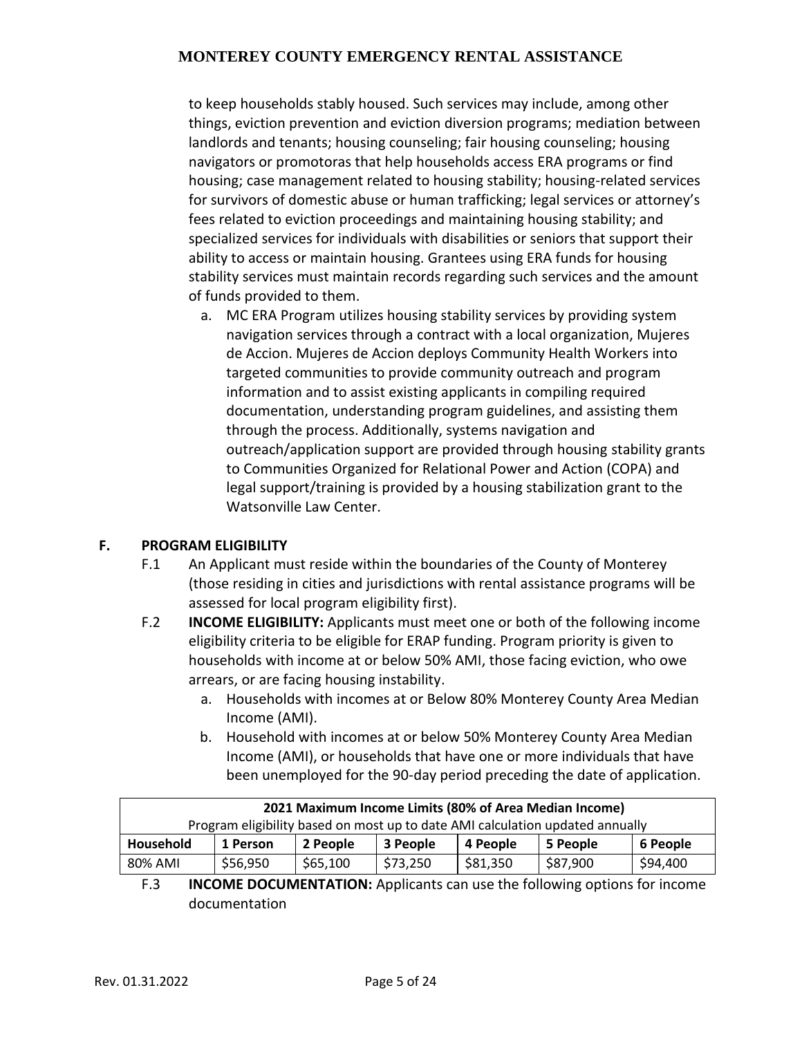to keep households stably housed. Such services may include, among other things, eviction prevention and eviction diversion programs; mediation between landlords and tenants; housing counseling; fair housing counseling; housing navigators or promotoras that help households access ERA programs or find housing; case management related to housing stability; housing-related services for survivors of domestic abuse or human trafficking; legal services or attorney's fees related to eviction proceedings and maintaining housing stability; and specialized services for individuals with disabilities or seniors that support their ability to access or maintain housing. Grantees using ERA funds for housing stability services must maintain records regarding such services and the amount of funds provided to them.

a. MC ERA Program utilizes housing stability services by providing system navigation services through a contract with a local organization, Mujeres de Accion. Mujeres de Accion deploys Community Health Workers into targeted communities to provide community outreach and program information and to assist existing applicants in compiling required documentation, understanding program guidelines, and assisting them through the process. Additionally, systems navigation and outreach/application support are provided through housing stability grants to Communities Organized for Relational Power and Action (COPA) and legal support/training is provided by a housing stabilization grant to the Watsonville Law Center.

#### **F. PROGRAM ELIGIBILITY**

- F.1 An Applicant must reside within the boundaries of the County of Monterey (those residing in cities and jurisdictions with rental assistance programs will be assessed for local program eligibility first).
- F.2 **INCOME ELIGIBILITY:** Applicants must meet one or both of the following income eligibility criteria to be eligible for ERAP funding. Program priority is given to households with income at or below 50% AMI, those facing eviction, who owe arrears, or are facing housing instability.
	- a. Households with incomes at or Below 80% Monterey County Area Median Income (AMI).
	- b. Household with incomes at or below 50% Monterey County Area Median Income (AMI), or households that have one or more individuals that have been unemployed for the 90-day period preceding the date of application.

| 2021 Maximum Income Limits (80% of Area Median Income)                        |          |          |          |          |          |          |  |  |
|-------------------------------------------------------------------------------|----------|----------|----------|----------|----------|----------|--|--|
| Program eligibility based on most up to date AMI calculation updated annually |          |          |          |          |          |          |  |  |
| Household                                                                     | 1 Person | 2 People | 3 People | 4 People | 5 People | 6 People |  |  |
| 80% AMI                                                                       | \$56,950 | \$65,100 | \$73,250 | \$81,350 | \$87,900 | \$94,400 |  |  |

F.3 **INCOME DOCUMENTATION:** Applicants can use the following options for income documentation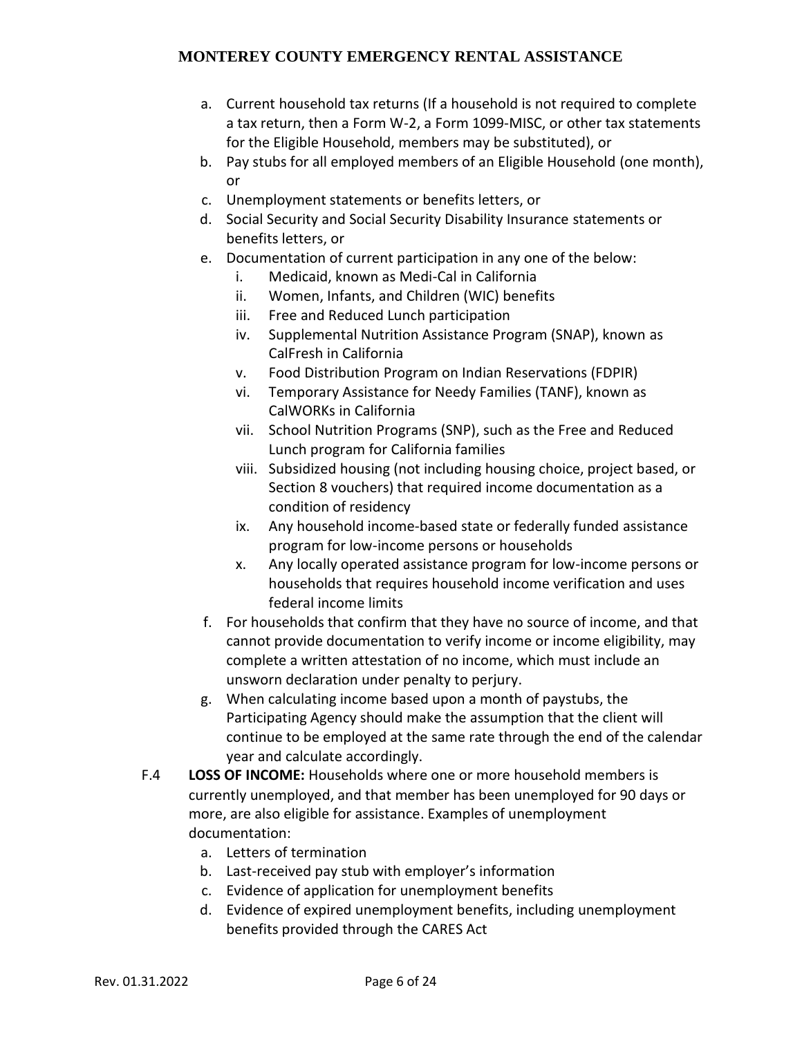- a. Current household tax returns (If a household is not required to complete a tax return, then a Form W-2, a Form 1099-MISC, or other tax statements for the Eligible Household, members may be substituted), or
- b. Pay stubs for all employed members of an Eligible Household (one month), or
- c. Unemployment statements or benefits letters, or
- d. Social Security and Social Security Disability Insurance statements or benefits letters, or
- e. Documentation of current participation in any one of the below:
	- i. Medicaid, known as Medi-Cal in California
	- ii. Women, Infants, and Children (WIC) benefits
	- iii. Free and Reduced Lunch participation
	- iv. Supplemental Nutrition Assistance Program (SNAP), known as CalFresh in California
	- v. Food Distribution Program on Indian Reservations (FDPIR)
	- vi. Temporary Assistance for Needy Families (TANF), known as CalWORKs in California
	- vii. School Nutrition Programs (SNP), such as the Free and Reduced Lunch program for California families
	- viii. Subsidized housing (not including housing choice, project based, or Section 8 vouchers) that required income documentation as a condition of residency
	- ix. Any household income-based state or federally funded assistance program for low-income persons or households
	- x. Any locally operated assistance program for low-income persons or households that requires household income verification and uses federal income limits
- f. For households that confirm that they have no source of income, and that cannot provide documentation to verify income or income eligibility, may complete a written attestation of no income, which must include an unsworn declaration under penalty to perjury.
- g. When calculating income based upon a month of paystubs, the Participating Agency should make the assumption that the client will continue to be employed at the same rate through the end of the calendar year and calculate accordingly.
- F.4 **LOSS OF INCOME:** Households where one or more household members is currently unemployed, and that member has been unemployed for 90 days or more, are also eligible for assistance. Examples of unemployment documentation:
	- a. Letters of termination
	- b. Last-received pay stub with employer's information
	- c. Evidence of application for unemployment benefits
	- d. Evidence of expired unemployment benefits, including unemployment benefits provided through the CARES Act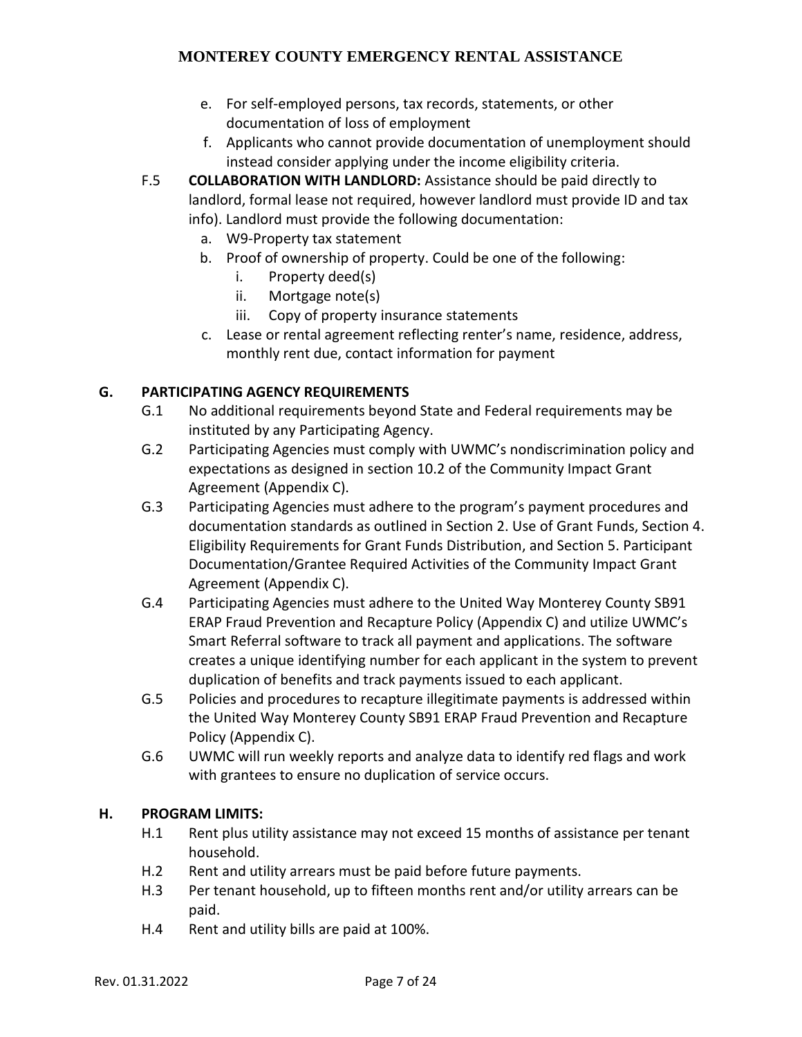- e. For self-employed persons, tax records, statements, or other documentation of loss of employment
- f. Applicants who cannot provide documentation of unemployment should instead consider applying under the income eligibility criteria.
- F.5 **COLLABORATION WITH LANDLORD:** Assistance should be paid directly to landlord, formal lease not required, however landlord must provide ID and tax info). Landlord must provide the following documentation:
	- a. W9-Property tax statement
	- b. Proof of ownership of property. Could be one of the following:
		- i. Property deed(s)
		- ii. Mortgage note(s)
		- iii. Copy of property insurance statements
	- c. Lease or rental agreement reflecting renter's name, residence, address, monthly rent due, contact information for payment

# **G. PARTICIPATING AGENCY REQUIREMENTS**

- G.1 No additional requirements beyond State and Federal requirements may be instituted by any Participating Agency.
- G.2 Participating Agencies must comply with UWMC's nondiscrimination policy and expectations as designed in section 10.2 of the Community Impact Grant Agreement (Appendix C).
- G.3 Participating Agencies must adhere to the program's payment procedures and documentation standards as outlined in Section 2. Use of Grant Funds, Section 4. Eligibility Requirements for Grant Funds Distribution, and Section 5. Participant Documentation/Grantee Required Activities of the Community Impact Grant Agreement (Appendix C).
- G.4 Participating Agencies must adhere to the United Way Monterey County SB91 ERAP Fraud Prevention and Recapture Policy (Appendix C) and utilize UWMC's Smart Referral software to track all payment and applications. The software creates a unique identifying number for each applicant in the system to prevent duplication of benefits and track payments issued to each applicant.
- G.5 Policies and procedures to recapture illegitimate payments is addressed within the United Way Monterey County SB91 ERAP Fraud Prevention and Recapture Policy (Appendix C).
- G.6 UWMC will run weekly reports and analyze data to identify red flags and work with grantees to ensure no duplication of service occurs.

# **H. PROGRAM LIMITS:**

- H.1 Rent plus utility assistance may not exceed 15 months of assistance per tenant household.
- H.2 Rent and utility arrears must be paid before future payments.
- H.3 Per tenant household, up to fifteen months rent and/or utility arrears can be paid.
- H.4 Rent and utility bills are paid at 100%.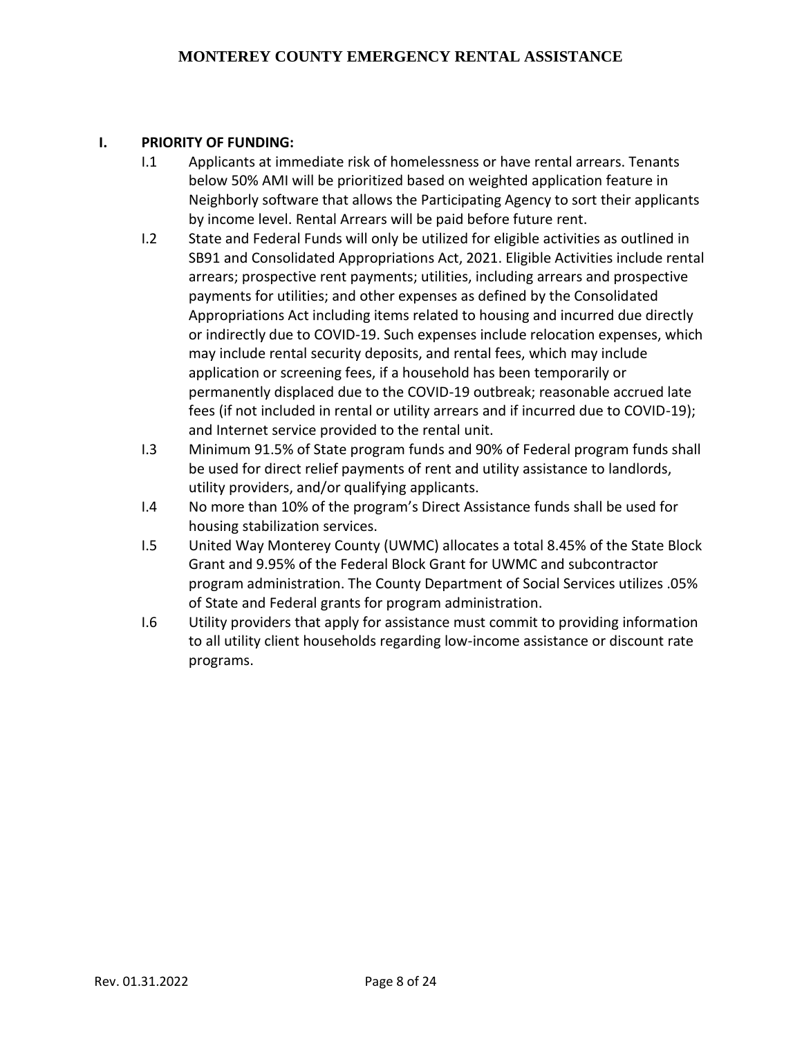#### **I. PRIORITY OF FUNDING:**

- I.1 Applicants at immediate risk of homelessness or have rental arrears. Tenants below 50% AMI will be prioritized based on weighted application feature in Neighborly software that allows the Participating Agency to sort their applicants by income level. Rental Arrears will be paid before future rent.
- I.2 State and Federal Funds will only be utilized for eligible activities as outlined in SB91 and Consolidated Appropriations Act, 2021. Eligible Activities include rental arrears; prospective rent payments; utilities, including arrears and prospective payments for utilities; and other expenses as defined by the Consolidated Appropriations Act including items related to housing and incurred due directly or indirectly due to COVID-19. Such expenses include relocation expenses, which may include rental security deposits, and rental fees, which may include application or screening fees, if a household has been temporarily or permanently displaced due to the COVID-19 outbreak; reasonable accrued late fees (if not included in rental or utility arrears and if incurred due to COVID-19); and Internet service provided to the rental unit.
- I.3 Minimum 91.5% of State program funds and 90% of Federal program funds shall be used for direct relief payments of rent and utility assistance to landlords, utility providers, and/or qualifying applicants.
- I.4 No more than 10% of the program's Direct Assistance funds shall be used for housing stabilization services.
- I.5 United Way Monterey County (UWMC) allocates a total 8.45% of the State Block Grant and 9.95% of the Federal Block Grant for UWMC and subcontractor program administration. The County Department of Social Services utilizes .05% of State and Federal grants for program administration.
- I.6 Utility providers that apply for assistance must commit to providing information to all utility client households regarding low-income assistance or discount rate programs.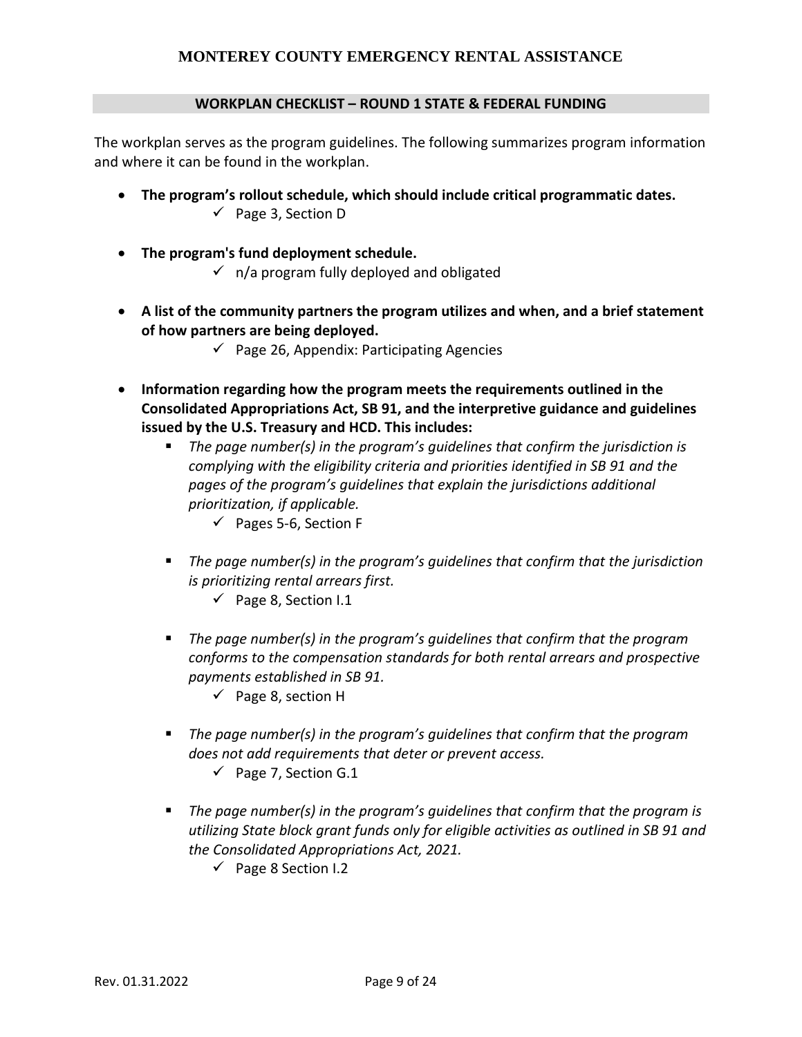#### **WORKPLAN CHECKLIST – ROUND 1 STATE & FEDERAL FUNDING**

The workplan serves as the program guidelines. The following summarizes program information and where it can be found in the workplan.

- **The program's rollout schedule, which should include critical programmatic dates.**  $\checkmark$  Page 3, Section D
- **The program's fund deployment schedule.**  $\checkmark$  n/a program fully deployed and obligated
- **A list of the community partners the program utilizes and when, and a brief statement of how partners are being deployed.**
	- $\checkmark$  Page 26, Appendix: Participating Agencies
- **Information regarding how the program meets the requirements outlined in the Consolidated Appropriations Act, SB 91, and the interpretive guidance and guidelines issued by the U.S. Treasury and HCD. This includes:**
	- *The page number(s) in the program's guidelines that confirm the jurisdiction is complying with the eligibility criteria and priorities identified in SB 91 and the pages of the program's guidelines that explain the jurisdictions additional prioritization, if applicable.* 
		- $\checkmark$  Pages 5-6, Section F
	- The page number(s) in the program's guidelines that confirm that the jurisdiction *is prioritizing rental arrears first.*
		- $\checkmark$  Page 8, Section I.1
	- The page number(s) in the program's quidelines that confirm that the program *conforms to the compensation standards for both rental arrears and prospective payments established in SB 91.*
		- $\checkmark$  Page 8, section H
	- The page number(s) in the program's guidelines that confirm that the program *does not add requirements that deter or prevent access.*
		- $\checkmark$  Page 7, Section G.1
	- The page number(s) in the program's guidelines that confirm that the program is *utilizing State block grant funds only for eligible activities as outlined in SB 91 and the Consolidated Appropriations Act, 2021.* 
		- $\checkmark$  Page 8 Section I.2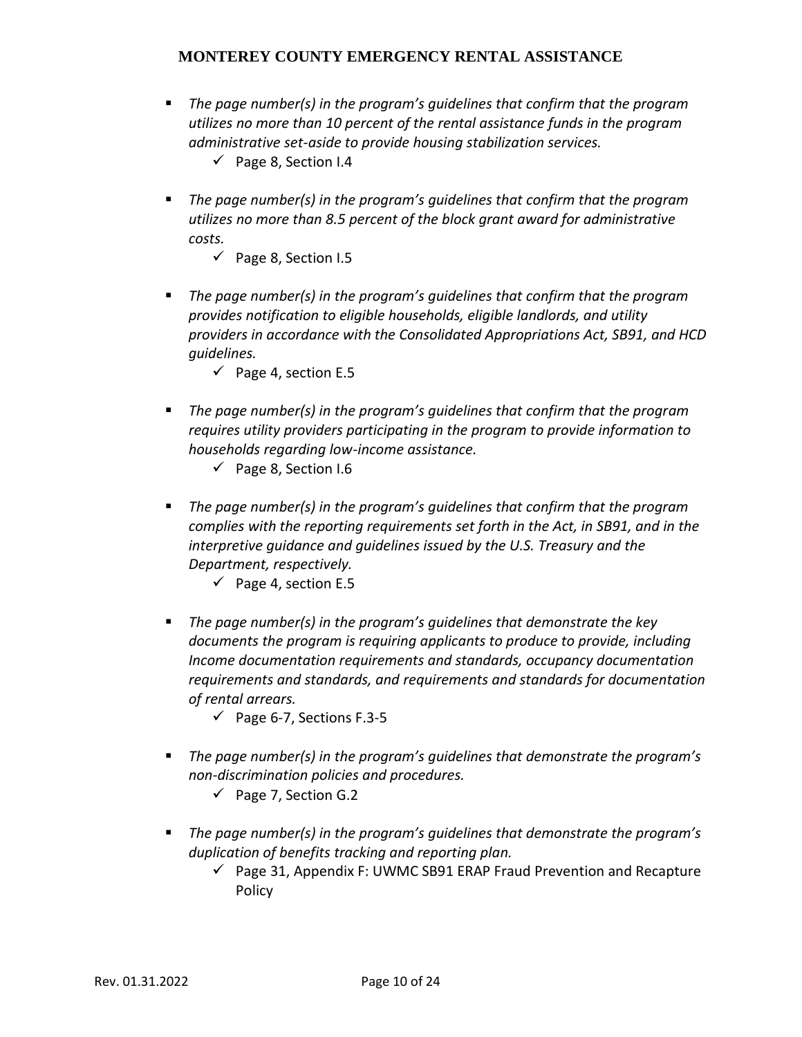- *The page number(s) in the program's guidelines that confirm that the program utilizes no more than 10 percent of the rental assistance funds in the program administrative set-aside to provide housing stabilization services.*
	- $\checkmark$  Page 8, Section I.4
- The page number(s) in the program's guidelines that confirm that the program *utilizes no more than 8.5 percent of the block grant award for administrative costs.*
	- $\checkmark$  Page 8, Section I.5
- The page number(s) in the program's quidelines that confirm that the program *provides notification to eligible households, eligible landlords, and utility providers in accordance with the Consolidated Appropriations Act, SB91, and HCD guidelines.*
	- $\checkmark$  Page 4, section E.5
- The page number(s) in the program's quidelines that confirm that the program *requires utility providers participating in the program to provide information to households regarding low-income assistance.*
	- $\checkmark$  Page 8, Section I.6
- The page number(s) in the program's quidelines that confirm that the program *complies with the reporting requirements set forth in the Act, in SB91, and in the interpretive guidance and guidelines issued by the U.S. Treasury and the Department, respectively.*
	- $\checkmark$  Page 4, section E.5
- The page number(s) in the program's guidelines that demonstrate the key *documents the program is requiring applicants to produce to provide, including Income documentation requirements and standards, occupancy documentation requirements and standards, and requirements and standards for documentation of rental arrears.* 
	- $\checkmark$  Page 6-7, Sections F.3-5
- The page number(s) in the program's quidelines that demonstrate the program's *non-discrimination policies and procedures.*
	- $\checkmark$  Page 7, Section G.2
- *The page number(s) in the program's guidelines that demonstrate the program's duplication of benefits tracking and reporting plan.*
	- $\checkmark$  Page 31, Appendix F: UWMC SB91 ERAP Fraud Prevention and Recapture Policy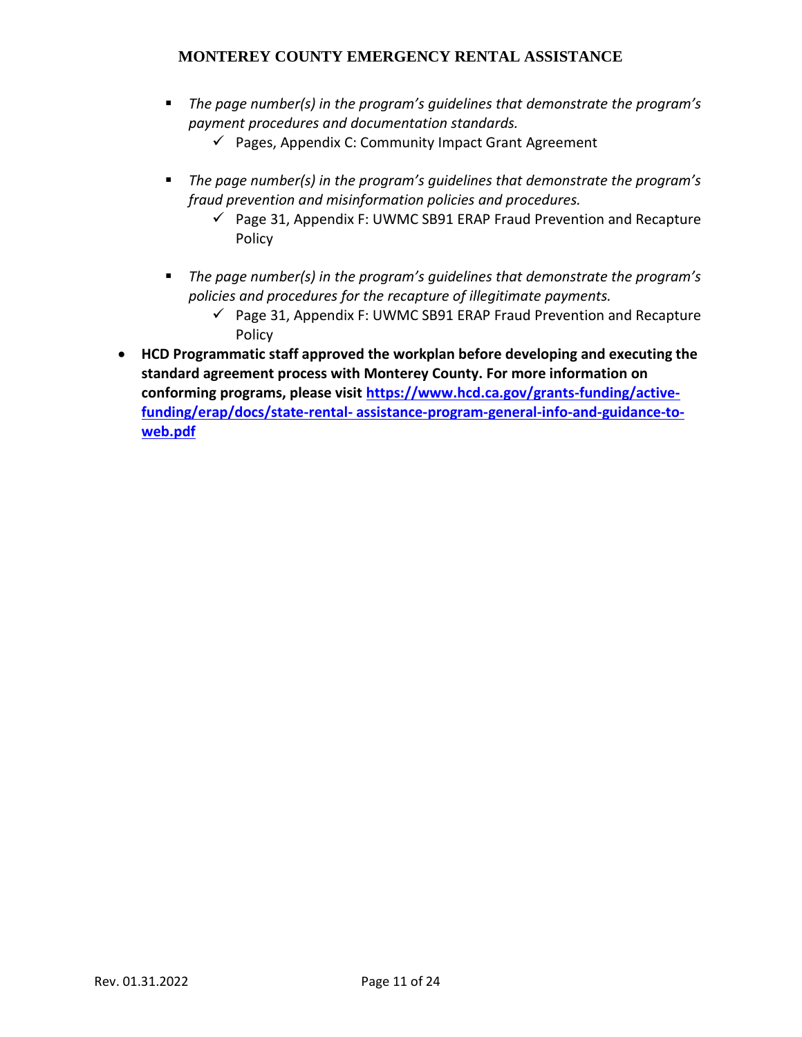- The page number(s) in the program's guidelines that demonstrate the program's *payment procedures and documentation standards.*
	- $\checkmark$  Pages, Appendix C: Community Impact Grant Agreement
- *The page number(s) in the program's guidelines that demonstrate the program's fraud prevention and misinformation policies and procedures.*
	- $\checkmark$  Page 31, Appendix F: UWMC SB91 ERAP Fraud Prevention and Recapture Policy
- The page number(s) in the program's guidelines that demonstrate the program's *policies and procedures for the recapture of illegitimate payments.*
	- $\checkmark$  Page 31, Appendix F: UWMC SB91 ERAP Fraud Prevention and Recapture Policy
- **HCD Programmatic staff approved the workplan before developing and executing the standard agreement process with Monterey County. For more information on conforming programs, please visit [https://www.hcd.ca.gov/grants-funding/active](https://www.hcd.ca.gov/grants-funding/active-funding/erap/docs/state-rental-%20assistance-program-general-info-and-guidance-to-web.pdf)funding/erap/docs/state-rental- [assistance-program-general-info-and-guidance-to](https://www.hcd.ca.gov/grants-funding/active-funding/erap/docs/state-rental-%20assistance-program-general-info-and-guidance-to-web.pdf)[web.pdf](https://www.hcd.ca.gov/grants-funding/active-funding/erap/docs/state-rental-%20assistance-program-general-info-and-guidance-to-web.pdf)**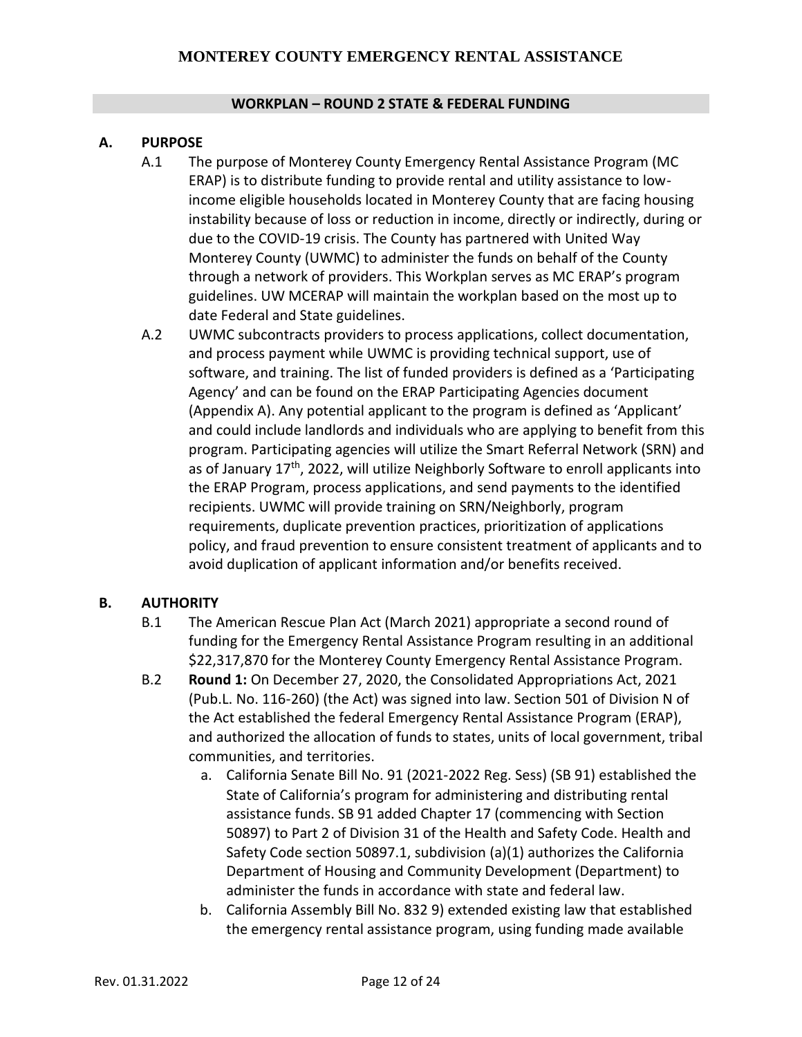#### **WORKPLAN – ROUND 2 STATE & FEDERAL FUNDING**

#### **A. PURPOSE**

- A.1 The purpose of Monterey County Emergency Rental Assistance Program (MC ERAP) is to distribute funding to provide rental and utility assistance to lowincome eligible households located in Monterey County that are facing housing instability because of loss or reduction in income, directly or indirectly, during or due to the COVID-19 crisis. The County has partnered with United Way Monterey County (UWMC) to administer the funds on behalf of the County through a network of providers. This Workplan serves as MC ERAP's program guidelines. UW MCERAP will maintain the workplan based on the most up to date Federal and State guidelines.
- A.2 UWMC subcontracts providers to process applications, collect documentation, and process payment while UWMC is providing technical support, use of software, and training. The list of funded providers is defined as a 'Participating Agency' and can be found on the ERAP Participating Agencies document (Appendix A). Any potential applicant to the program is defined as 'Applicant' and could include landlords and individuals who are applying to benefit from this program. Participating agencies will utilize the Smart Referral Network (SRN) and as of January  $17<sup>th</sup>$ , 2022, will utilize Neighborly Software to enroll applicants into the ERAP Program, process applications, and send payments to the identified recipients. UWMC will provide training on SRN/Neighborly, program requirements, duplicate prevention practices, prioritization of applications policy, and fraud prevention to ensure consistent treatment of applicants and to avoid duplication of applicant information and/or benefits received.

#### **B. AUTHORITY**

- B.1 The American Rescue Plan Act (March 2021) appropriate a second round of funding for the Emergency Rental Assistance Program resulting in an additional \$22,317,870 for the Monterey County Emergency Rental Assistance Program.
- B.2 **Round 1:** On December 27, 2020, the Consolidated Appropriations Act, 2021 (Pub.L. No. 116-260) (the Act) was signed into law. Section 501 of Division N of the Act established the federal Emergency Rental Assistance Program (ERAP), and authorized the allocation of funds to states, units of local government, tribal communities, and territories.
	- a. California Senate Bill No. 91 (2021-2022 Reg. Sess) (SB 91) established the State of California's program for administering and distributing rental assistance funds. SB 91 added Chapter 17 (commencing with Section 50897) to Part 2 of Division 31 of the Health and Safety Code. Health and Safety Code section 50897.1, subdivision (a)(1) authorizes the California Department of Housing and Community Development (Department) to administer the funds in accordance with state and federal law.
	- b. California Assembly Bill No. 832 9) extended existing law that established the emergency rental assistance program, using funding made available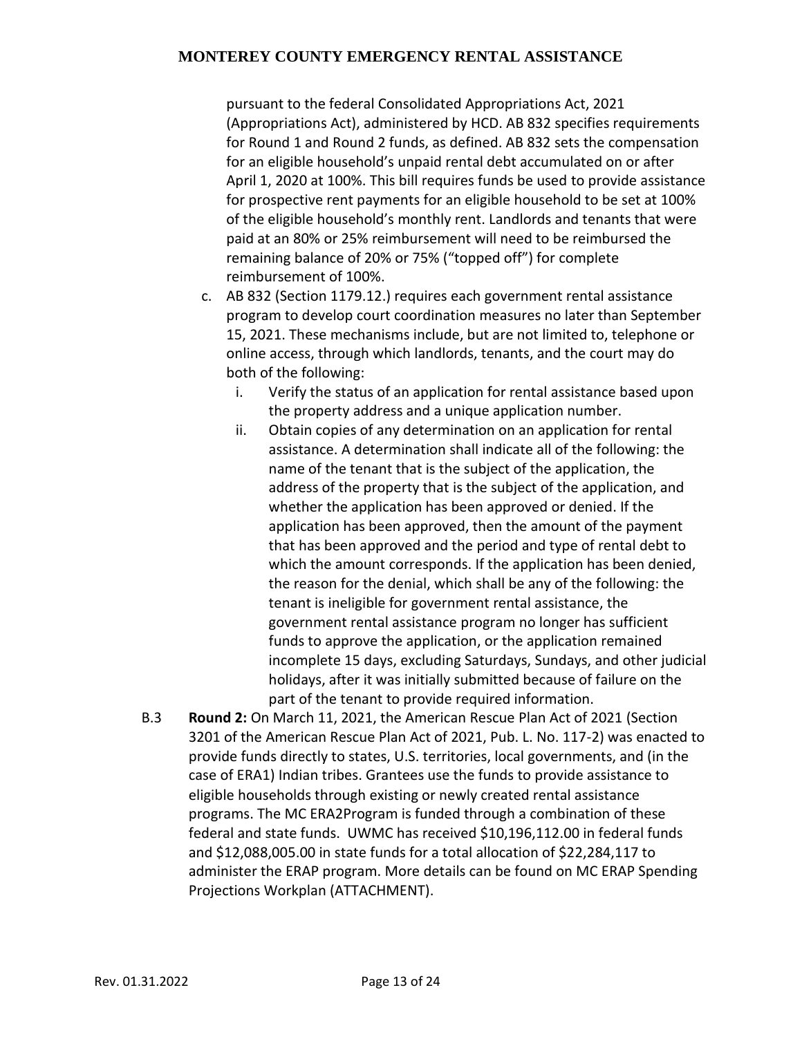pursuant to the federal Consolidated Appropriations Act, 2021 (Appropriations Act), administered by HCD. AB 832 specifies requirements for Round 1 and Round 2 funds, as defined. AB 832 sets the compensation for an eligible household's unpaid rental debt accumulated on or after April 1, 2020 at 100%. This bill requires funds be used to provide assistance for prospective rent payments for an eligible household to be set at 100% of the eligible household's monthly rent. Landlords and tenants that were paid at an 80% or 25% reimbursement will need to be reimbursed the remaining balance of 20% or 75% ("topped off") for complete reimbursement of 100%.

- c. AB 832 (Section 1179.12.) requires each government rental assistance program to develop court coordination measures no later than September 15, 2021. These mechanisms include, but are not limited to, telephone or online access, through which landlords, tenants, and the court may do both of the following:
	- i. Verify the status of an application for rental assistance based upon the property address and a unique application number.
	- ii. Obtain copies of any determination on an application for rental assistance. A determination shall indicate all of the following: the name of the tenant that is the subject of the application, the address of the property that is the subject of the application, and whether the application has been approved or denied. If the application has been approved, then the amount of the payment that has been approved and the period and type of rental debt to which the amount corresponds. If the application has been denied, the reason for the denial, which shall be any of the following: the tenant is ineligible for government rental assistance, the government rental assistance program no longer has sufficient funds to approve the application, or the application remained incomplete 15 days, excluding Saturdays, Sundays, and other judicial holidays, after it was initially submitted because of failure on the part of the tenant to provide required information.
- B.3 **Round 2:** On March 11, 2021, the American Rescue Plan Act of 2021 (Section 3201 of the American Rescue Plan Act of 2021, Pub. L. No. 117-2) was enacted to provide funds directly to states, U.S. territories, local governments, and (in the case of ERA1) Indian tribes. Grantees use the funds to provide assistance to eligible households through existing or newly created rental assistance programs. The MC ERA2Program is funded through a combination of these federal and state funds. UWMC has received \$10,196,112.00 in federal funds and \$12,088,005.00 in state funds for a total allocation of \$22,284,117 to administer the ERAP program. More details can be found on MC ERAP Spending Projections Workplan (ATTACHMENT).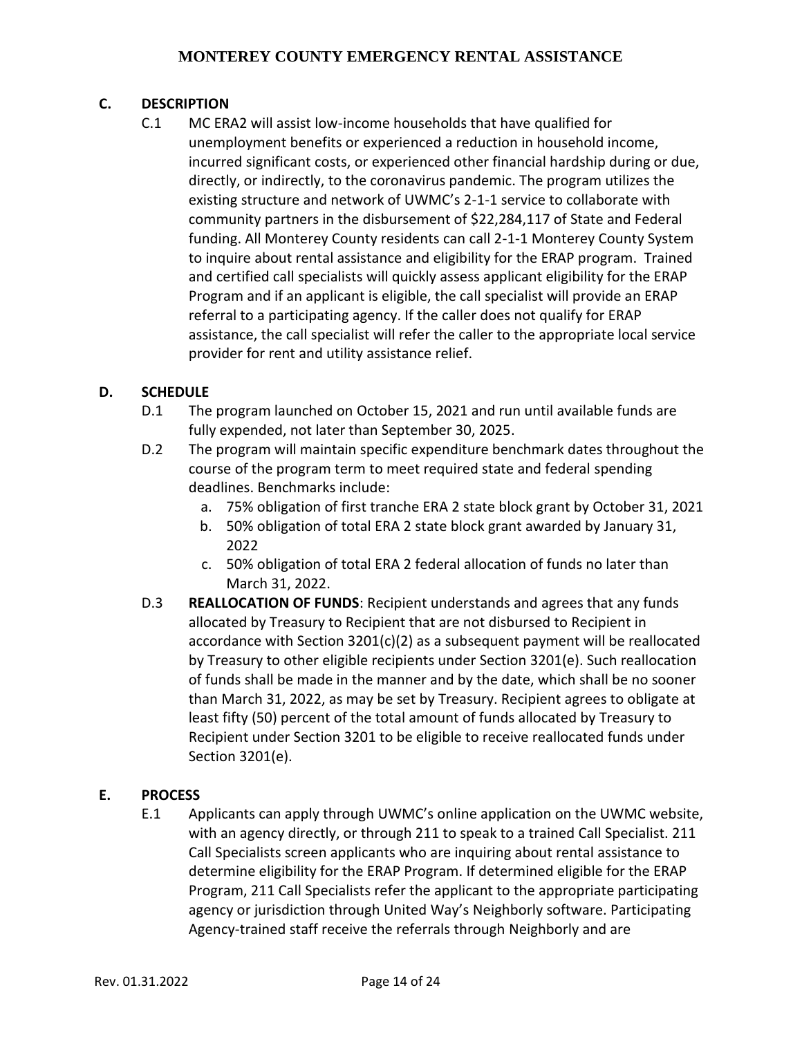## **C. DESCRIPTION**

C.1 MC ERA2 will assist low-income households that have qualified for unemployment benefits or experienced a reduction in household income, incurred significant costs, or experienced other financial hardship during or due, directly, or indirectly, to the coronavirus pandemic. The program utilizes the existing structure and network of UWMC's 2-1-1 service to collaborate with community partners in the disbursement of \$22,284,117 of State and Federal funding. All Monterey County residents can call 2-1-1 Monterey County System to inquire about rental assistance and eligibility for the ERAP program. Trained and certified call specialists will quickly assess applicant eligibility for the ERAP Program and if an applicant is eligible, the call specialist will provide an ERAP referral to a participating agency. If the caller does not qualify for ERAP assistance, the call specialist will refer the caller to the appropriate local service provider for rent and utility assistance relief.

### **D. SCHEDULE**

- D.1 The program launched on October 15, 2021 and run until available funds are fully expended, not later than September 30, 2025.
- D.2 The program will maintain specific expenditure benchmark dates throughout the course of the program term to meet required state and federal spending deadlines. Benchmarks include:
	- a. 75% obligation of first tranche ERA 2 state block grant by October 31, 2021
	- b. 50% obligation of total ERA 2 state block grant awarded by January 31, 2022
	- c. 50% obligation of total ERA 2 federal allocation of funds no later than March 31, 2022.
- D.3 **REALLOCATION OF FUNDS**: Recipient understands and agrees that any funds allocated by Treasury to Recipient that are not disbursed to Recipient in accordance with Section 3201(c)(2) as a subsequent payment will be reallocated by Treasury to other eligible recipients under Section 3201(e). Such reallocation of funds shall be made in the manner and by the date, which shall be no sooner than March 31, 2022, as may be set by Treasury. Recipient agrees to obligate at least fifty (50) percent of the total amount of funds allocated by Treasury to Recipient under Section 3201 to be eligible to receive reallocated funds under Section 3201(e).

#### **E. PROCESS**

E.1 Applicants can apply through UWMC's online application on the UWMC website, with an agency directly, or through 211 to speak to a trained Call Specialist. 211 Call Specialists screen applicants who are inquiring about rental assistance to determine eligibility for the ERAP Program. If determined eligible for the ERAP Program, 211 Call Specialists refer the applicant to the appropriate participating agency or jurisdiction through United Way's Neighborly software. Participating Agency-trained staff receive the referrals through Neighborly and are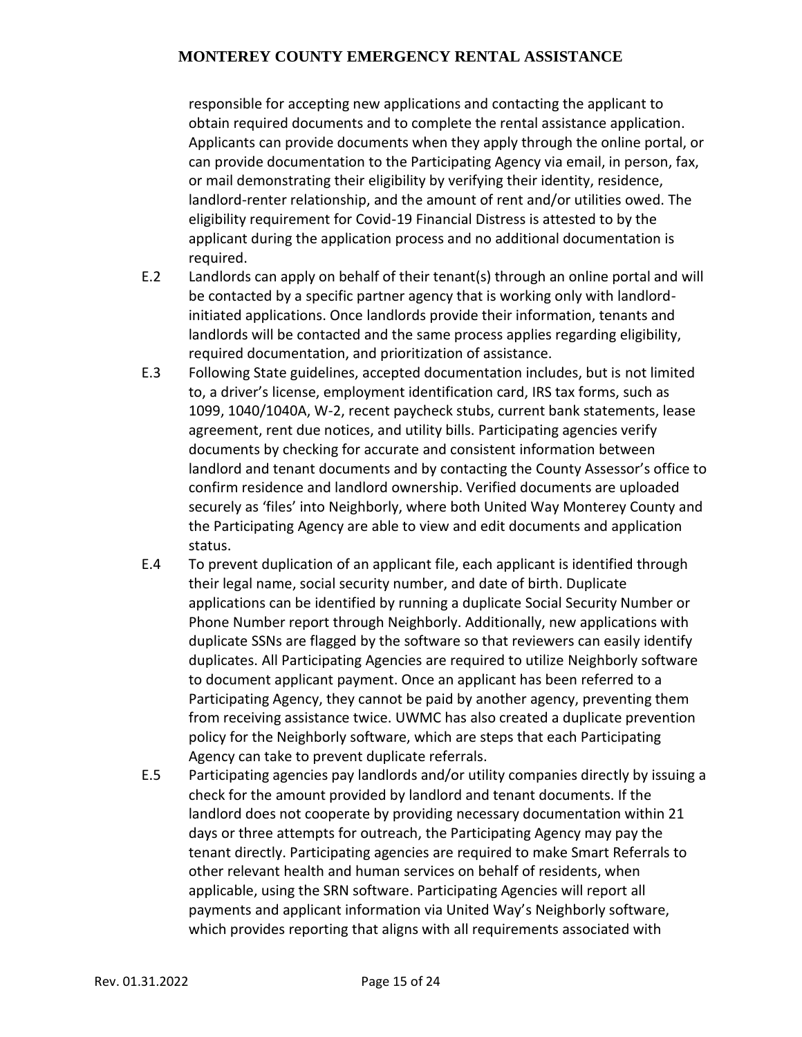responsible for accepting new applications and contacting the applicant to obtain required documents and to complete the rental assistance application. Applicants can provide documents when they apply through the online portal, or can provide documentation to the Participating Agency via email, in person, fax, or mail demonstrating their eligibility by verifying their identity, residence, landlord-renter relationship, and the amount of rent and/or utilities owed. The eligibility requirement for Covid-19 Financial Distress is attested to by the applicant during the application process and no additional documentation is required.

- E.2 Landlords can apply on behalf of their tenant(s) through an online portal and will be contacted by a specific partner agency that is working only with landlordinitiated applications. Once landlords provide their information, tenants and landlords will be contacted and the same process applies regarding eligibility, required documentation, and prioritization of assistance.
- E.3 Following State guidelines, accepted documentation includes, but is not limited to, a driver's license, employment identification card, IRS tax forms, such as 1099, 1040/1040A, W-2, recent paycheck stubs, current bank statements, lease agreement, rent due notices, and utility bills. Participating agencies verify documents by checking for accurate and consistent information between landlord and tenant documents and by contacting the County Assessor's office to confirm residence and landlord ownership. Verified documents are uploaded securely as 'files' into Neighborly, where both United Way Monterey County and the Participating Agency are able to view and edit documents and application status.
- E.4 To prevent duplication of an applicant file, each applicant is identified through their legal name, social security number, and date of birth. Duplicate applications can be identified by running a duplicate Social Security Number or Phone Number report through Neighborly. Additionally, new applications with duplicate SSNs are flagged by the software so that reviewers can easily identify duplicates. All Participating Agencies are required to utilize Neighborly software to document applicant payment. Once an applicant has been referred to a Participating Agency, they cannot be paid by another agency, preventing them from receiving assistance twice. UWMC has also created a duplicate prevention policy for the Neighborly software, which are steps that each Participating Agency can take to prevent duplicate referrals.
- E.5 Participating agencies pay landlords and/or utility companies directly by issuing a check for the amount provided by landlord and tenant documents. If the landlord does not cooperate by providing necessary documentation within 21 days or three attempts for outreach, the Participating Agency may pay the tenant directly. Participating agencies are required to make Smart Referrals to other relevant health and human services on behalf of residents, when applicable, using the SRN software. Participating Agencies will report all payments and applicant information via United Way's Neighborly software, which provides reporting that aligns with all requirements associated with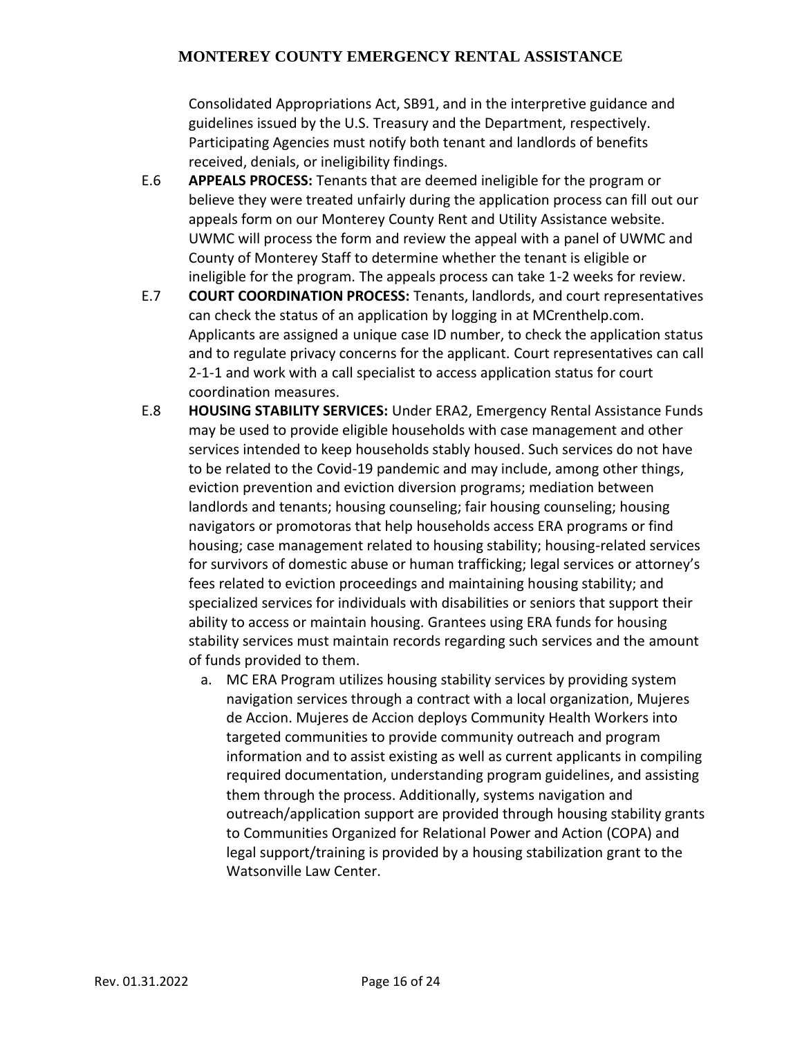Consolidated Appropriations Act, SB91, and in the interpretive guidance and guidelines issued by the U.S. Treasury and the Department, respectively. Participating Agencies must notify both tenant and landlords of benefits received, denials, or ineligibility findings.

- E.6 **APPEALS PROCESS:** Tenants that are deemed ineligible for the program or believe they were treated unfairly during the application process can fill out our appeals form on our Monterey County Rent and Utility Assistance website. UWMC will process the form and review the appeal with a panel of UWMC and County of Monterey Staff to determine whether the tenant is eligible or ineligible for the program. The appeals process can take 1-2 weeks for review.
- E.7 **COURT COORDINATION PROCESS:** Tenants, landlords, and court representatives can check the status of an application by logging in at MCrenthelp.com. Applicants are assigned a unique case ID number, to check the application status and to regulate privacy concerns for the applicant. Court representatives can call 2-1-1 and work with a call specialist to access application status for court coordination measures.
- E.8 **HOUSING STABILITY SERVICES:** Under ERA2, Emergency Rental Assistance Funds may be used to provide eligible households with case management and other services intended to keep households stably housed. Such services do not have to be related to the Covid-19 pandemic and may include, among other things, eviction prevention and eviction diversion programs; mediation between landlords and tenants; housing counseling; fair housing counseling; housing navigators or promotoras that help households access ERA programs or find housing; case management related to housing stability; housing-related services for survivors of domestic abuse or human trafficking; legal services or attorney's fees related to eviction proceedings and maintaining housing stability; and specialized services for individuals with disabilities or seniors that support their ability to access or maintain housing. Grantees using ERA funds for housing stability services must maintain records regarding such services and the amount of funds provided to them.
	- a. MC ERA Program utilizes housing stability services by providing system navigation services through a contract with a local organization, Mujeres de Accion. Mujeres de Accion deploys Community Health Workers into targeted communities to provide community outreach and program information and to assist existing as well as current applicants in compiling required documentation, understanding program guidelines, and assisting them through the process. Additionally, systems navigation and outreach/application support are provided through housing stability grants to Communities Organized for Relational Power and Action (COPA) and legal support/training is provided by a housing stabilization grant to the Watsonville Law Center.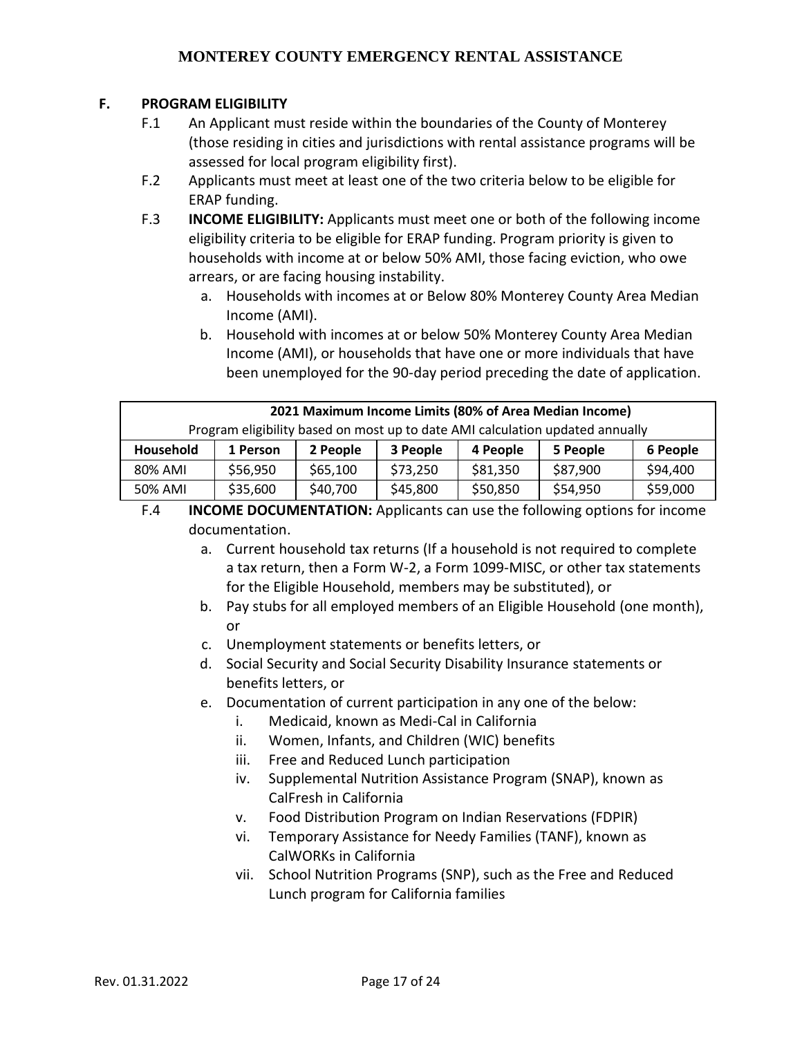## **F. PROGRAM ELIGIBILITY**

- F.1 An Applicant must reside within the boundaries of the County of Monterey (those residing in cities and jurisdictions with rental assistance programs will be assessed for local program eligibility first).
- F.2 Applicants must meet at least one of the two criteria below to be eligible for ERAP funding.
- F.3 **INCOME ELIGIBILITY:** Applicants must meet one or both of the following income eligibility criteria to be eligible for ERAP funding. Program priority is given to households with income at or below 50% AMI, those facing eviction, who owe arrears, or are facing housing instability.
	- a. Households with incomes at or Below 80% Monterey County Area Median Income (AMI).
	- b. Household with incomes at or below 50% Monterey County Area Median Income (AMI), or households that have one or more individuals that have been unemployed for the 90-day period preceding the date of application.

| 2021 Maximum Income Limits (80% of Area Median Income)                        |          |          |          |          |          |          |  |  |
|-------------------------------------------------------------------------------|----------|----------|----------|----------|----------|----------|--|--|
| Program eligibility based on most up to date AMI calculation updated annually |          |          |          |          |          |          |  |  |
| Household                                                                     | 1 Person | 2 People | 3 People | 6 People |          |          |  |  |
| 80% AMI                                                                       | \$56,950 | \$65,100 | \$73,250 | \$81,350 | \$87,900 | \$94,400 |  |  |
| 50% AMI                                                                       | \$35,600 | \$40,700 | \$45,800 | \$50,850 | \$54,950 | \$59,000 |  |  |

- F.4 **INCOME DOCUMENTATION:** Applicants can use the following options for income documentation.
	- a. Current household tax returns (If a household is not required to complete a tax return, then a Form W-2, a Form 1099-MISC, or other tax statements for the Eligible Household, members may be substituted), or
	- b. Pay stubs for all employed members of an Eligible Household (one month), or
	- c. Unemployment statements or benefits letters, or
	- d. Social Security and Social Security Disability Insurance statements or benefits letters, or
	- e. Documentation of current participation in any one of the below:
		- i. Medicaid, known as Medi-Cal in California
		- ii. Women, Infants, and Children (WIC) benefits
		- iii. Free and Reduced Lunch participation
		- iv. Supplemental Nutrition Assistance Program (SNAP), known as CalFresh in California
		- v. Food Distribution Program on Indian Reservations (FDPIR)
		- vi. Temporary Assistance for Needy Families (TANF), known as CalWORKs in California
		- vii. School Nutrition Programs (SNP), such as the Free and Reduced Lunch program for California families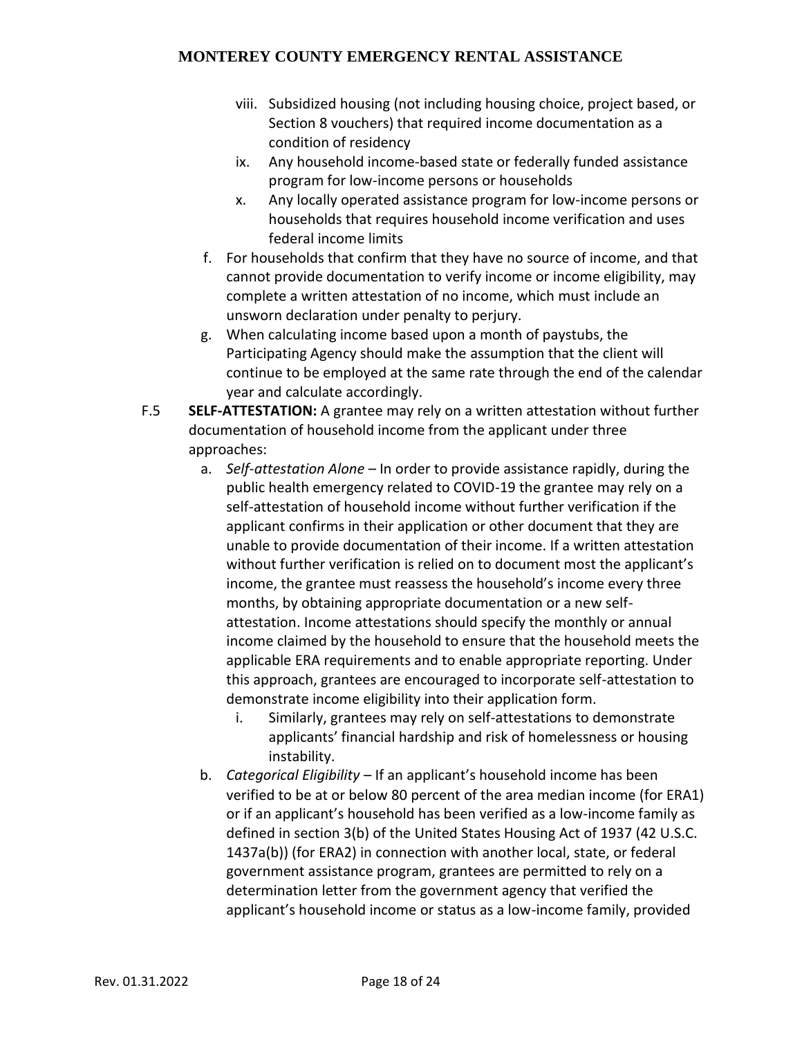- viii. Subsidized housing (not including housing choice, project based, or Section 8 vouchers) that required income documentation as a condition of residency
- ix. Any household income-based state or federally funded assistance program for low-income persons or households
- x. Any locally operated assistance program for low-income persons or households that requires household income verification and uses federal income limits
- f. For households that confirm that they have no source of income, and that cannot provide documentation to verify income or income eligibility, may complete a written attestation of no income, which must include an unsworn declaration under penalty to perjury.
- g. When calculating income based upon a month of paystubs, the Participating Agency should make the assumption that the client will continue to be employed at the same rate through the end of the calendar year and calculate accordingly.
- F.5 **SELF-ATTESTATION:** A grantee may rely on a written attestation without further documentation of household income from the applicant under three approaches:
	- a. *Self-attestation Alone* In order to provide assistance rapidly, during the public health emergency related to COVID-19 the grantee may rely on a self-attestation of household income without further verification if the applicant confirms in their application or other document that they are unable to provide documentation of their income. If a written attestation without further verification is relied on to document most the applicant's income, the grantee must reassess the household's income every three months, by obtaining appropriate documentation or a new selfattestation. Income attestations should specify the monthly or annual income claimed by the household to ensure that the household meets the applicable ERA requirements and to enable appropriate reporting. Under this approach, grantees are encouraged to incorporate self-attestation to demonstrate income eligibility into their application form.
		- i. Similarly, grantees may rely on self-attestations to demonstrate applicants' financial hardship and risk of homelessness or housing instability.
	- b. *Categorical Eligibility* If an applicant's household income has been verified to be at or below 80 percent of the area median income (for ERA1) or if an applicant's household has been verified as a low-income family as defined in section 3(b) of the United States Housing Act of 1937 (42 U.S.C. 1437a(b)) (for ERA2) in connection with another local, state, or federal government assistance program, grantees are permitted to rely on a determination letter from the government agency that verified the applicant's household income or status as a low-income family, provided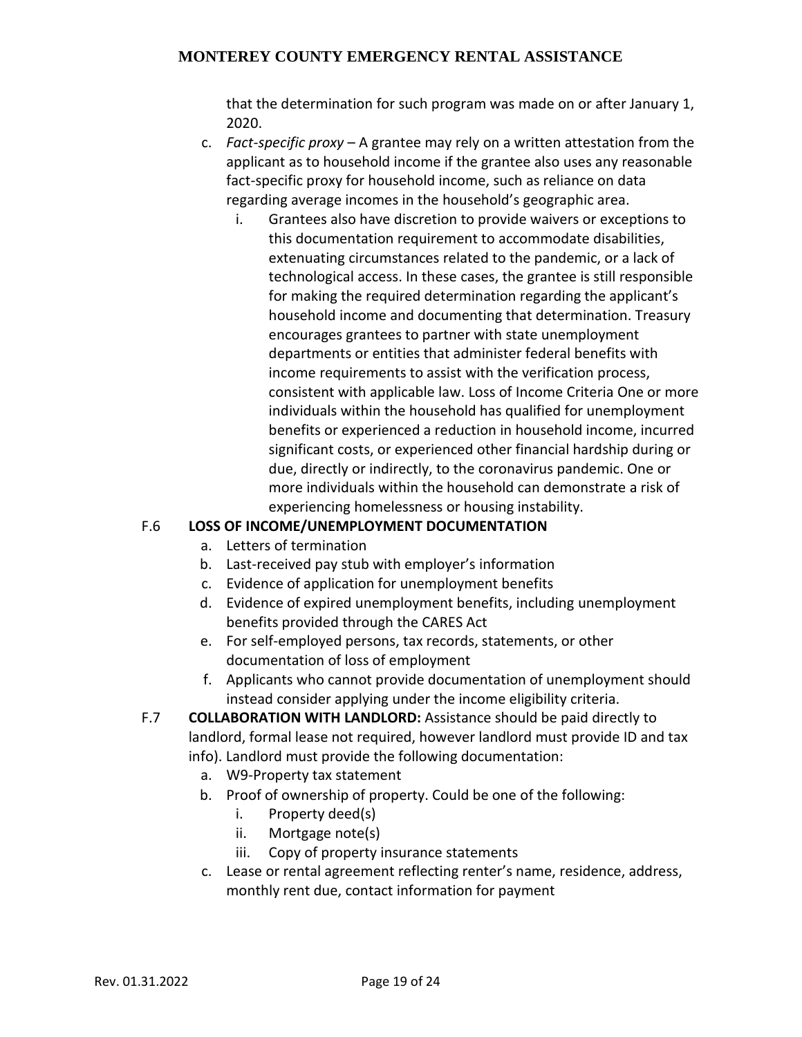that the determination for such program was made on or after January 1, 2020.

- c. *Fact-specific proxy* A grantee may rely on a written attestation from the applicant as to household income if the grantee also uses any reasonable fact-specific proxy for household income, such as reliance on data regarding average incomes in the household's geographic area.
	- i. Grantees also have discretion to provide waivers or exceptions to this documentation requirement to accommodate disabilities, extenuating circumstances related to the pandemic, or a lack of technological access. In these cases, the grantee is still responsible for making the required determination regarding the applicant's household income and documenting that determination. Treasury encourages grantees to partner with state unemployment departments or entities that administer federal benefits with income requirements to assist with the verification process, consistent with applicable law. Loss of Income Criteria One or more individuals within the household has qualified for unemployment benefits or experienced a reduction in household income, incurred significant costs, or experienced other financial hardship during or due, directly or indirectly, to the coronavirus pandemic. One or more individuals within the household can demonstrate a risk of experiencing homelessness or housing instability.

## F.6 **LOSS OF INCOME/UNEMPLOYMENT DOCUMENTATION**

- a. Letters of termination
- b. Last-received pay stub with employer's information
- c. Evidence of application for unemployment benefits
- d. Evidence of expired unemployment benefits, including unemployment benefits provided through the CARES Act
- e. For self-employed persons, tax records, statements, or other documentation of loss of employment
- f. Applicants who cannot provide documentation of unemployment should instead consider applying under the income eligibility criteria.
- F.7 **COLLABORATION WITH LANDLORD:** Assistance should be paid directly to landlord, formal lease not required, however landlord must provide ID and tax info). Landlord must provide the following documentation:
	- a. W9-Property tax statement
	- b. Proof of ownership of property. Could be one of the following:
		- i. Property deed(s)
		- ii. Mortgage note(s)
		- iii. Copy of property insurance statements
	- c. Lease or rental agreement reflecting renter's name, residence, address, monthly rent due, contact information for payment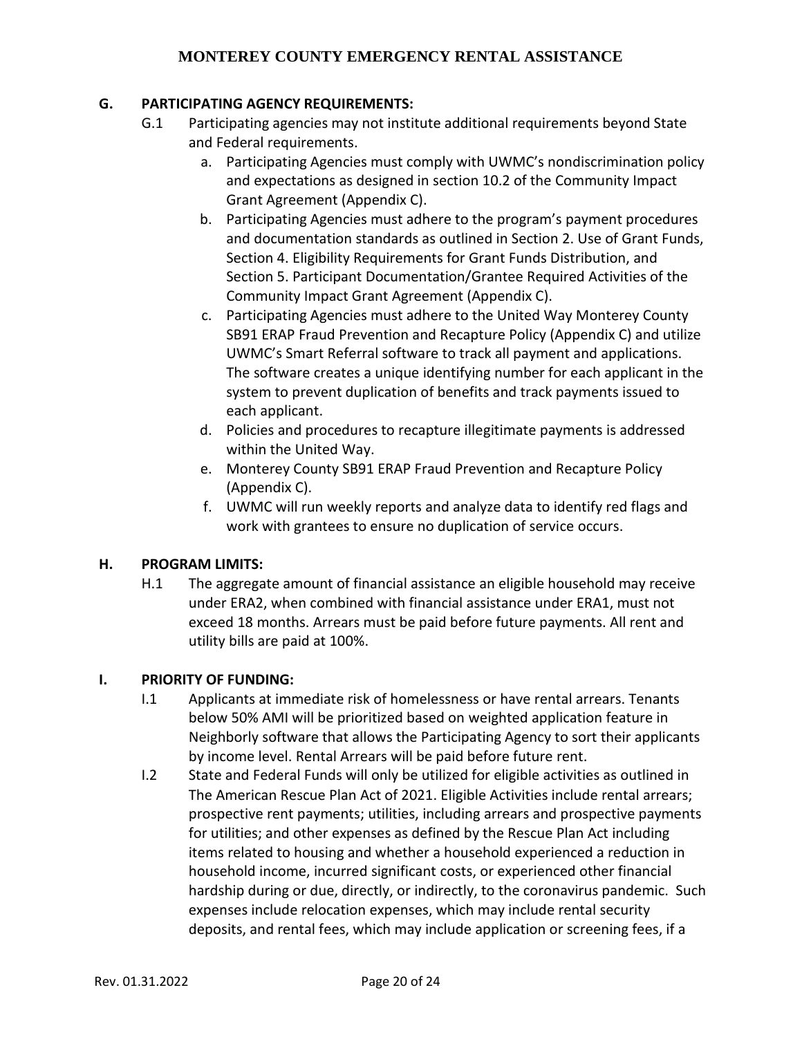#### **G. PARTICIPATING AGENCY REQUIREMENTS:**

- G.1 Participating agencies may not institute additional requirements beyond State and Federal requirements.
	- a. Participating Agencies must comply with UWMC's nondiscrimination policy and expectations as designed in section 10.2 of the Community Impact Grant Agreement (Appendix C).
	- b. Participating Agencies must adhere to the program's payment procedures and documentation standards as outlined in Section 2. Use of Grant Funds, Section 4. Eligibility Requirements for Grant Funds Distribution, and Section 5. Participant Documentation/Grantee Required Activities of the Community Impact Grant Agreement (Appendix C).
	- c. Participating Agencies must adhere to the United Way Monterey County SB91 ERAP Fraud Prevention and Recapture Policy (Appendix C) and utilize UWMC's Smart Referral software to track all payment and applications. The software creates a unique identifying number for each applicant in the system to prevent duplication of benefits and track payments issued to each applicant.
	- d. Policies and procedures to recapture illegitimate payments is addressed within the United Way.
	- e. Monterey County SB91 ERAP Fraud Prevention and Recapture Policy (Appendix C).
	- f. UWMC will run weekly reports and analyze data to identify red flags and work with grantees to ensure no duplication of service occurs.

#### **H. PROGRAM LIMITS:**

H.1 The aggregate amount of financial assistance an eligible household may receive under ERA2, when combined with financial assistance under ERA1, must not exceed 18 months. Arrears must be paid before future payments. All rent and utility bills are paid at 100%.

#### **I. PRIORITY OF FUNDING:**

- I.1 Applicants at immediate risk of homelessness or have rental arrears. Tenants below 50% AMI will be prioritized based on weighted application feature in Neighborly software that allows the Participating Agency to sort their applicants by income level. Rental Arrears will be paid before future rent.
- I.2 State and Federal Funds will only be utilized for eligible activities as outlined in The American Rescue Plan Act of 2021. Eligible Activities include rental arrears; prospective rent payments; utilities, including arrears and prospective payments for utilities; and other expenses as defined by the Rescue Plan Act including items related to housing and whether a household experienced a reduction in household income, incurred significant costs, or experienced other financial hardship during or due, directly, or indirectly, to the coronavirus pandemic. Such expenses include relocation expenses, which may include rental security deposits, and rental fees, which may include application or screening fees, if a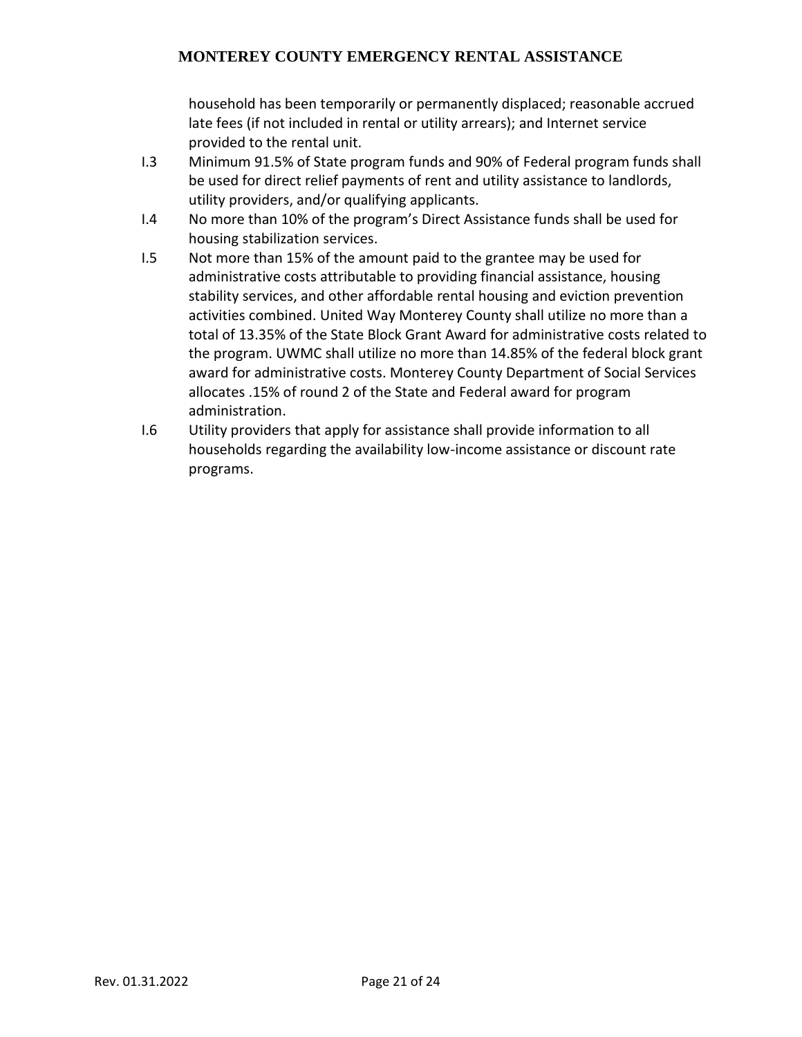household has been temporarily or permanently displaced; reasonable accrued late fees (if not included in rental or utility arrears); and Internet service provided to the rental unit.

- I.3 Minimum 91.5% of State program funds and 90% of Federal program funds shall be used for direct relief payments of rent and utility assistance to landlords, utility providers, and/or qualifying applicants.
- I.4 No more than 10% of the program's Direct Assistance funds shall be used for housing stabilization services.
- I.5 Not more than 15% of the amount paid to the grantee may be used for administrative costs attributable to providing financial assistance, housing stability services, and other affordable rental housing and eviction prevention activities combined. United Way Monterey County shall utilize no more than a total of 13.35% of the State Block Grant Award for administrative costs related to the program. UWMC shall utilize no more than 14.85% of the federal block grant award for administrative costs. Monterey County Department of Social Services allocates .15% of round 2 of the State and Federal award for program administration.
- I.6 Utility providers that apply for assistance shall provide information to all households regarding the availability low-income assistance or discount rate programs.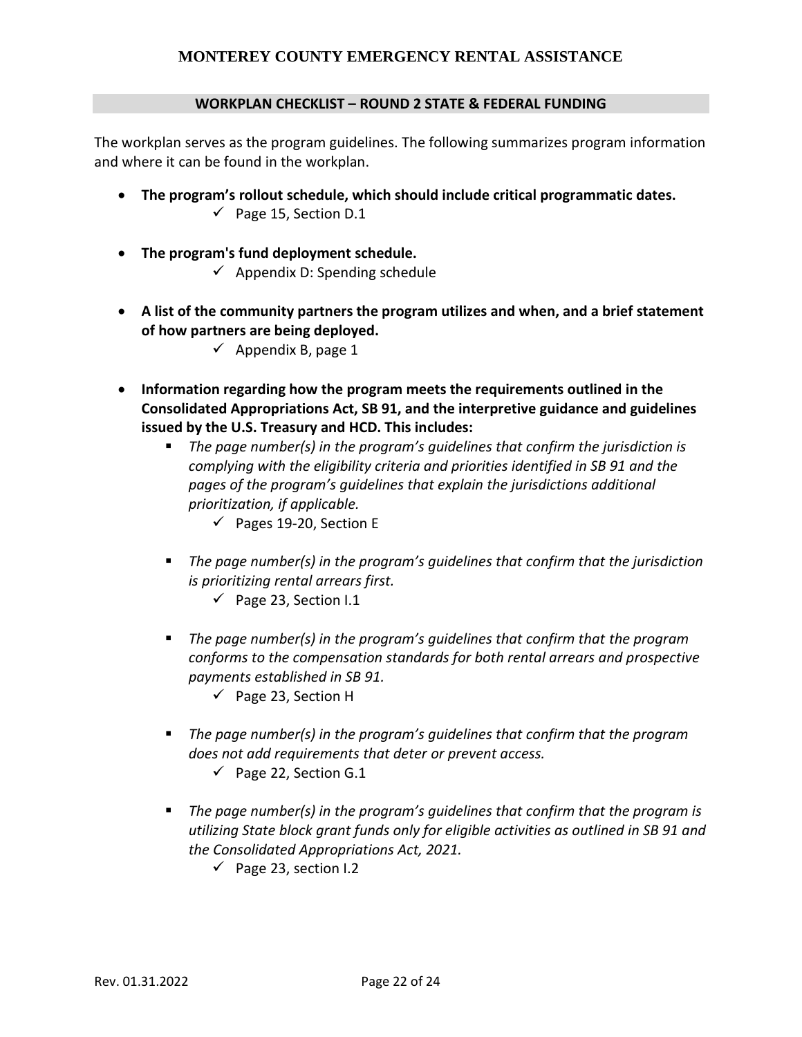#### **WORKPLAN CHECKLIST – ROUND 2 STATE & FEDERAL FUNDING**

The workplan serves as the program guidelines. The following summarizes program information and where it can be found in the workplan.

- **The program's rollout schedule, which should include critical programmatic dates.**  $\checkmark$  Page 15, Section D.1
- **The program's fund deployment schedule.**  $\checkmark$  Appendix D: Spending schedule
- **A list of the community partners the program utilizes and when, and a brief statement of how partners are being deployed.**
	- $\checkmark$  Appendix B, page 1
- **Information regarding how the program meets the requirements outlined in the Consolidated Appropriations Act, SB 91, and the interpretive guidance and guidelines issued by the U.S. Treasury and HCD. This includes:**
	- The page number(s) in the program's guidelines that confirm the jurisdiction is *complying with the eligibility criteria and priorities identified in SB 91 and the pages of the program's guidelines that explain the jurisdictions additional prioritization, if applicable.*
		- $\checkmark$  Pages 19-20, Section E
	- The page number(s) in the program's guidelines that confirm that the jurisdiction *is prioritizing rental arrears first.*
		- $\checkmark$  Page 23, Section I.1
	- The page number(s) in the program's quidelines that confirm that the program *conforms to the compensation standards for both rental arrears and prospective payments established in SB 91.*
		- $\checkmark$  Page 23, Section H
	- The page number(s) in the program's guidelines that confirm that the program *does not add requirements that deter or prevent access.*
		- $\checkmark$  Page 22, Section G.1
	- The page number(s) in the program's guidelines that confirm that the program is *utilizing State block grant funds only for eligible activities as outlined in SB 91 and the Consolidated Appropriations Act, 2021.*
		- $\checkmark$  Page 23, section I.2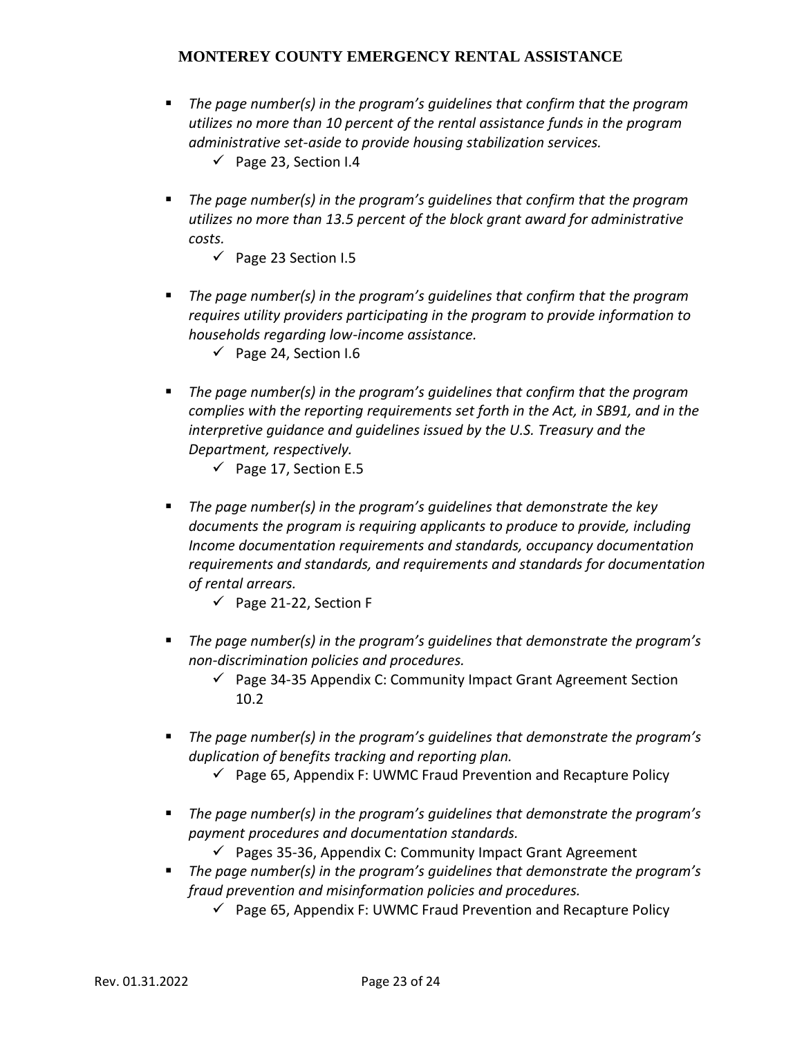- The page number(s) in the program's guidelines that confirm that the program *utilizes no more than 10 percent of the rental assistance funds in the program administrative set-aside to provide housing stabilization services.*
	- $\checkmark$  Page 23, Section I.4
- The page number(s) in the program's guidelines that confirm that the program *utilizes no more than 13.5 percent of the block grant award for administrative costs.*
	- $\checkmark$  Page 23 Section I.5
- The page number(s) in the program's quidelines that confirm that the program *requires utility providers participating in the program to provide information to households regarding low-income assistance.*
	- $\checkmark$  Page 24, Section I.6
- The page number(s) in the program's guidelines that confirm that the program *complies with the reporting requirements set forth in the Act, in SB91, and in the interpretive guidance and guidelines issued by the U.S. Treasury and the Department, respectively.*
	- $\checkmark$  Page 17, Section E.5
- The page number(s) in the program's quidelines that demonstrate the key *documents the program is requiring applicants to produce to provide, including Income documentation requirements and standards, occupancy documentation requirements and standards, and requirements and standards for documentation of rental arrears.*
	- $\checkmark$  Page 21-22, Section F
- *The page number(s) in the program's guidelines that demonstrate the program's non-discrimination policies and procedures.*
	- $\checkmark$  Page 34-35 Appendix C: Community Impact Grant Agreement Section 10.2
- *The page number(s) in the program's guidelines that demonstrate the program's duplication of benefits tracking and reporting plan.*
	- $\checkmark$  Page 65, Appendix F: UWMC Fraud Prevention and Recapture Policy
- The page number(s) in the program's guidelines that demonstrate the program's *payment procedures and documentation standards.*
	- $\checkmark$  Pages 35-36, Appendix C: Community Impact Grant Agreement
- *The page number(s) in the program's guidelines that demonstrate the program's fraud prevention and misinformation policies and procedures.*
	- $\checkmark$  Page 65, Appendix F: UWMC Fraud Prevention and Recapture Policy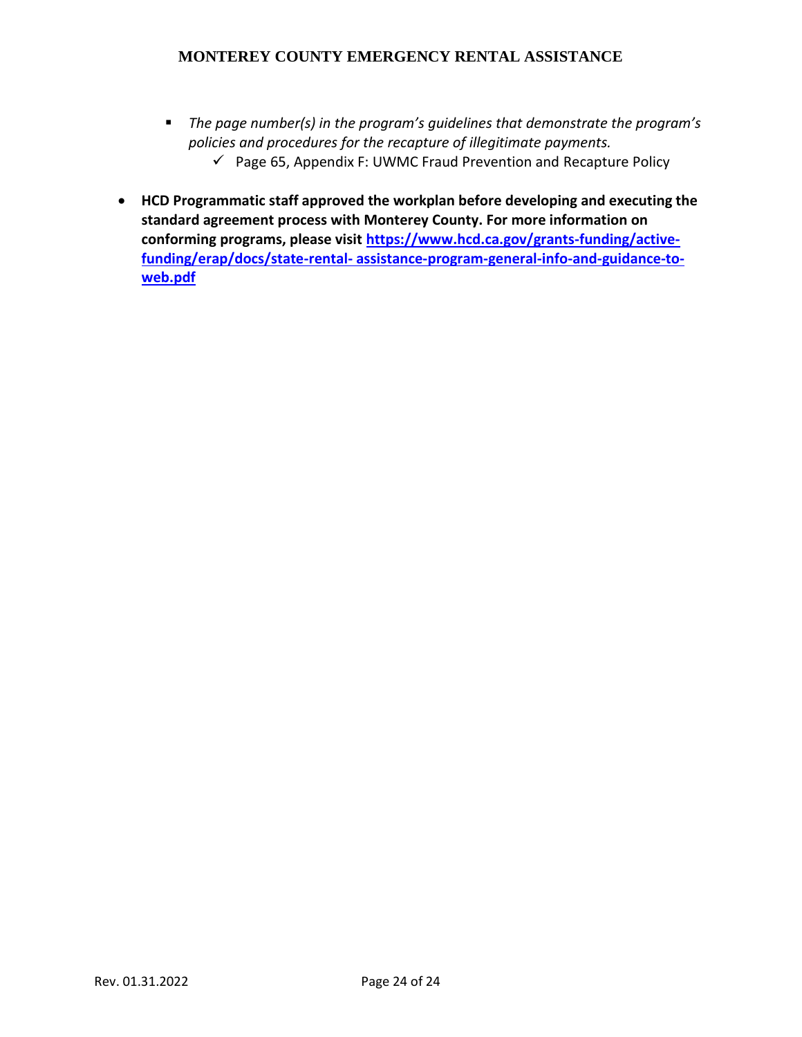- The page number(s) in the program's guidelines that demonstrate the program's *policies and procedures for the recapture of illegitimate payments.*  $\checkmark$  Page 65, Appendix F: UWMC Fraud Prevention and Recapture Policy
- **HCD Programmatic staff approved the workplan before developing and executing the standard agreement process with Monterey County. For more information on conforming programs, please visit [https://www.hcd.ca.gov/grants-funding/active](https://www.hcd.ca.gov/grants-funding/active-funding/erap/docs/state-rental-%20assistance-program-general-info-and-guidance-to-web.pdf)funding/erap/docs/state-rental- [assistance-program-general-info-and-guidance-to](https://www.hcd.ca.gov/grants-funding/active-funding/erap/docs/state-rental-%20assistance-program-general-info-and-guidance-to-web.pdf)[web.pdf](https://www.hcd.ca.gov/grants-funding/active-funding/erap/docs/state-rental-%20assistance-program-general-info-and-guidance-to-web.pdf)**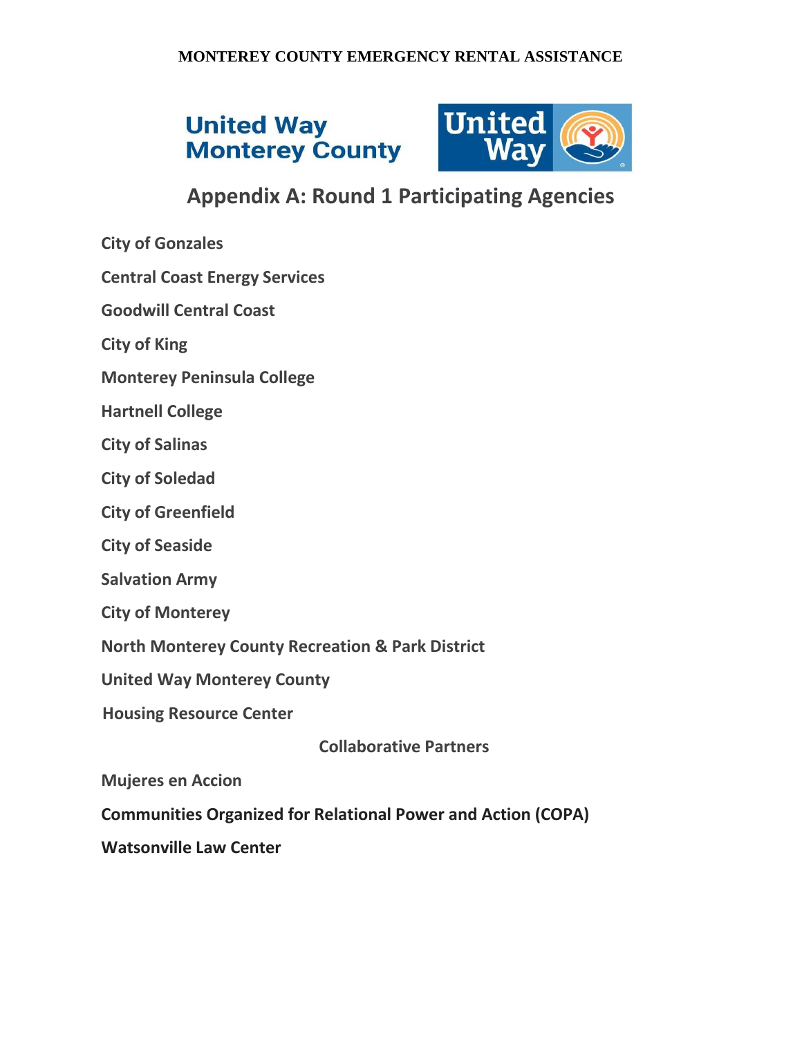# **United Way Monterey County**



# **Appendix A: Round 1 Participating Agencies**

- **City of Gonzales**
- **Central Coast Energy Services**
- **Goodwill Central Coast**
- **City of King**
- **Monterey Peninsula College**
- **Hartnell College**
- **City of Salinas**
- **City of Soledad**
- **City of Greenfield**
- **City of Seaside**
- **Salvation Army**
- **City of Monterey**
- **North Monterey County Recreation & Park District**
- **United Way Monterey County**
- **Housing Resource Center**

**Collaborative Partners**

**Mujeres en Accion** 

**Communities Organized for Relational Power and Action (COPA)**

**Watsonville Law Center**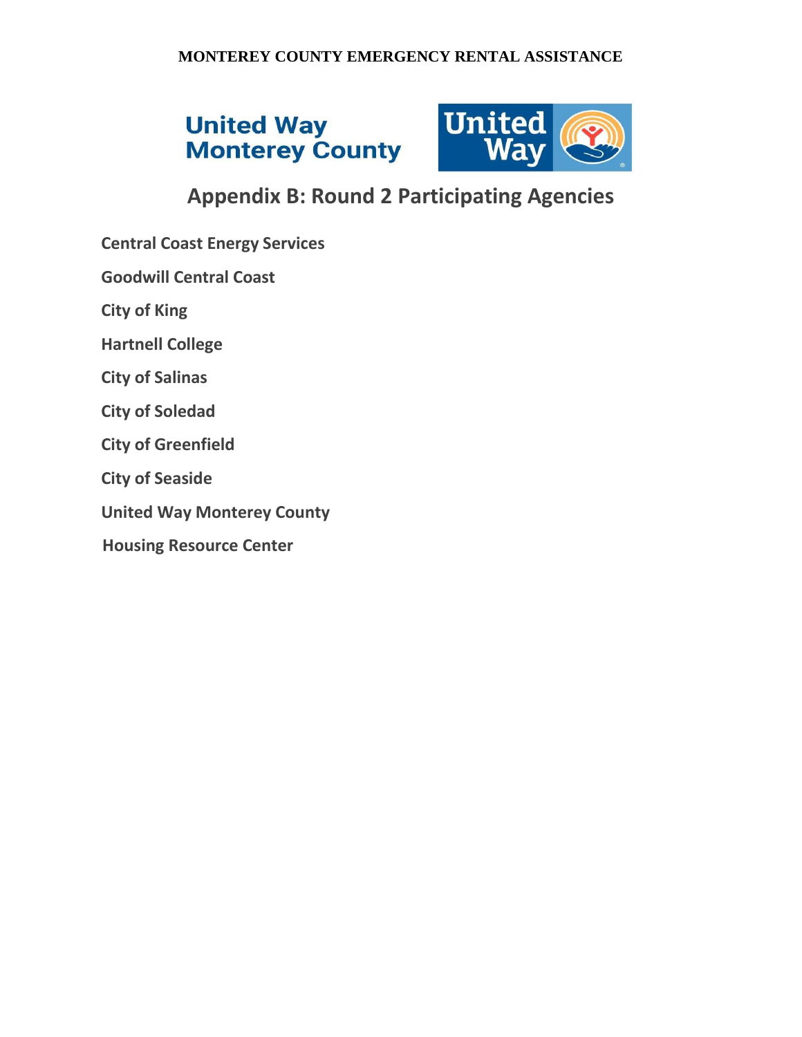# **United Way Monterey County**



# **Appendix B: Round 2 Participating Agencies**

- **Central Coast Energy Services**
- **Goodwill Central Coast**
- **City of King**
- **Hartnell College**
- **City of Salinas**
- **City of Soledad**
- **City of Greenfield**
- **City of Seaside**
- **United Way Monterey County**
- **Housing Resource Center**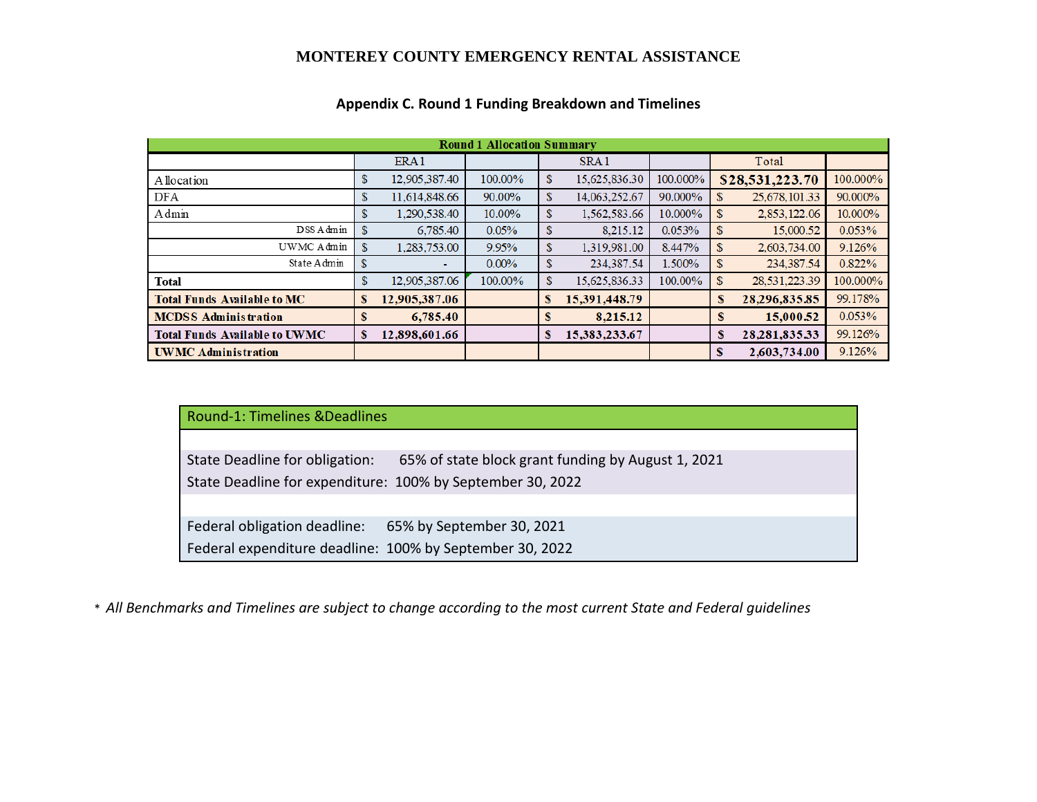| <b>Round 1 Allocation Summary</b>    |               |                  |          |                    |                  |          |    |                  |          |
|--------------------------------------|---------------|------------------|----------|--------------------|------------------|----------|----|------------------|----------|
|                                      |               | ERA <sub>1</sub> |          |                    | SRA <sub>1</sub> |          |    | Total            |          |
| A llocation                          | S             | 12,905,387.40    | 100.00%  | \$                 | 15,625,836.30    | 100.000% |    | \$28,531,223.70  | 100.000% |
| DFA                                  | S.            | 11,614,848.66    | 90.00%   | $\mathbf{\hat{s}}$ | 14,063,252.67    | 90.000%  | S  | 25,678,101.33    | 90.000%  |
| Admin                                | S.            | 1,290,538.40     | 10.00%   | \$                 | 1,562,583.66     | 10.000%  | S  | 2,853,122.06     | 10.000%  |
| DSS Admin                            | \$.           | 6,785.40         | 0.05%    | \$                 | 8,215.12         | 0.053%   | \$ | 15,000.52        | 0.053%   |
| UWMC Admin                           | S             | 1,283,753.00     | 9.95%    | \$                 | 1,319,981.00     | 8.447%   | \$ | 2,603,734.00     | 9.126%   |
| State Admin                          | <sup>\$</sup> | ٠                | $0.00\%$ | \$                 | 234,387.54       | 1.500%   | S  | 234,387.54       | 0.822%   |
| Total                                | S.            | 12,905,387.06    | 100.00%  | \$                 | 15,625,836.33    | 100.00%  | \$ | 28,531,223.39    | 100.000% |
| <b>Total Funds Available to MC</b>   |               | 12,905,387.06    |          | S                  | 15,391,448.79    |          | s  | 28,296,835.85    | 99.178%  |
| <b>MCDSS Administration</b>          |               | 6,785.40         |          | S                  | 8,215.12         |          | S  | 15,000.52        | 0.053%   |
| <b>Total Funds Available to UWMC</b> |               | 12,898,601.66    |          | S                  | 15,383,233.67    |          | s  | 28, 281, 835. 33 | 99.126%  |
| <b>UWMC Administration</b>           |               |                  |          |                    |                  |          | S  | 2,603,734.00     | 9.126%   |

## **Appendix C. Round 1 Funding Breakdown and Timelines**

|  |  | Round-1: Timelines & Deadlines |  |
|--|--|--------------------------------|--|
|--|--|--------------------------------|--|

State Deadline for obligation: 65% of state block grant funding by August 1, 2021 State Deadline for expenditure: 100% by September 30, 2022

Federal obligation deadline: 65% by September 30, 2021 Federal expenditure deadline: 100% by September 30, 2022

\* *All Benchmarks and Timelines are subject to change according to the most current State and Federal guidelines*